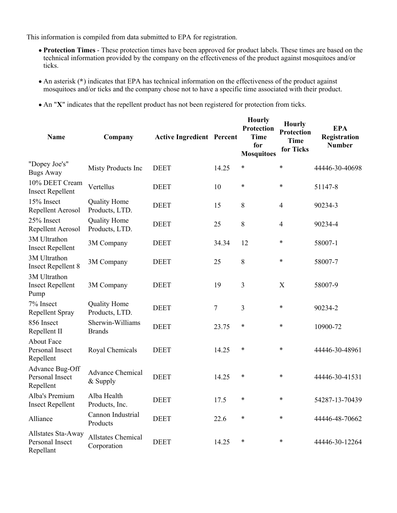This information is compiled from data submitted to EPA for registration.

- **Protection Times** These protection times have been approved for product labels. These times are based on the technical information provided by the company on the effectiveness of the product against mosquitoes and/or ticks.
- An asterisk (**\***) indicates that EPA has technical information on the effectiveness of the product against mosquitoes and/or ticks and the company chose not to have a specific time associated with their product.
- An "**X**" indicates that the repellent product has not been registered for protection from ticks.

| <b>Name</b>                                        | Company                                  | <b>Active Ingredient Percent</b> |       | <b>Hourly</b><br>Protection<br><b>Time</b><br>for<br><b>Mosquitoes</b> | <b>Hourly</b><br><b>Protection</b><br><b>Time</b><br>for Ticks | <b>EPA</b><br>Registration<br><b>Number</b> |
|----------------------------------------------------|------------------------------------------|----------------------------------|-------|------------------------------------------------------------------------|----------------------------------------------------------------|---------------------------------------------|
| "Dopey Joe's"<br><b>Bugs Away</b>                  | Misty Products Inc                       | <b>DEET</b>                      | 14.25 | $\ast$                                                                 | $\ast$                                                         | 44446-30-40698                              |
| 10% DEET Cream<br><b>Insect Repellent</b>          | Vertellus                                | <b>DEET</b>                      | 10    | $\ast$                                                                 | $\ast$                                                         | 51147-8                                     |
| 15% Insect<br><b>Repellent Aerosol</b>             | <b>Quality Home</b><br>Products, LTD.    | <b>DEET</b>                      | 15    | 8                                                                      | $\overline{4}$                                                 | 90234-3                                     |
| 25% Insect<br><b>Repellent Aerosol</b>             | <b>Quality Home</b><br>Products, LTD.    | <b>DEET</b>                      | 25    | 8                                                                      | $\overline{4}$                                                 | 90234-4                                     |
| 3M Ultrathon<br><b>Insect Repellent</b>            | 3M Company                               | <b>DEET</b>                      | 34.34 | 12                                                                     | $\ast$                                                         | 58007-1                                     |
| 3M Ultrathon<br><b>Insect Repellent 8</b>          | 3M Company                               | <b>DEET</b>                      | 25    | 8                                                                      | *                                                              | 58007-7                                     |
| 3M Ultrathon<br><b>Insect Repellent</b><br>Pump    | 3M Company                               | <b>DEET</b>                      | 19    | 3                                                                      | $\boldsymbol{\mathrm{X}}$                                      | 58007-9                                     |
| 7% Insect<br>Repellent Spray                       | <b>Quality Home</b><br>Products, LTD.    | <b>DEET</b>                      | 7     | 3                                                                      | $\ast$                                                         | 90234-2                                     |
| 856 Insect<br>Repellent II                         | Sherwin-Williams<br><b>Brands</b>        | <b>DEET</b>                      | 23.75 | $\ast$                                                                 | $\ast$                                                         | 10900-72                                    |
| <b>About Face</b><br>Personal Insect<br>Repellent  | Royal Chemicals                          | <b>DEET</b>                      | 14.25 | $\ast$                                                                 | $\ast$                                                         | 44446-30-48961                              |
| Advance Bug-Off<br>Personal Insect<br>Repellent    | <b>Advance Chemical</b><br>$&$ Supply    | <b>DEET</b>                      | 14.25 | $\ast$                                                                 | $\ast$                                                         | 44446-30-41531                              |
| Alba's Premium<br><b>Insect Repellent</b>          | Alba Health<br>Products, Inc.            | <b>DEET</b>                      | 17.5  | $\ast$                                                                 | $\ast$                                                         | 54287-13-70439                              |
| Alliance                                           | Cannon Industrial<br>Products            | <b>DEET</b>                      | 22.6  | $\ast$                                                                 | $\ast$                                                         | 44446-48-70662                              |
| Allstates Sta-Away<br>Personal Insect<br>Repellant | <b>Allstates Chemical</b><br>Corporation | <b>DEET</b>                      | 14.25 | $\ast$                                                                 | *                                                              | 44446-30-12264                              |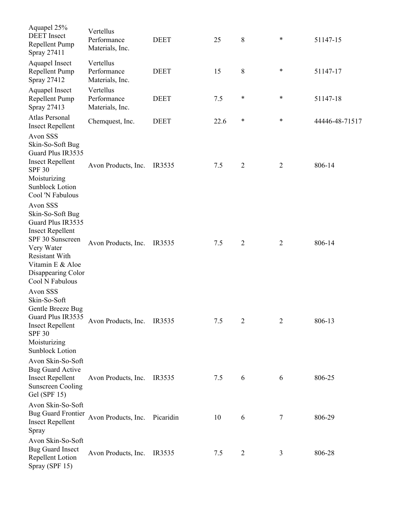| Aquapel 25%                                                                                                                                                                                          |                                             |             |      |                |                |                |
|------------------------------------------------------------------------------------------------------------------------------------------------------------------------------------------------------|---------------------------------------------|-------------|------|----------------|----------------|----------------|
| <b>DEET</b> Insect<br>Repellent Pump<br>Spray 27411                                                                                                                                                  | Vertellus<br>Performance<br>Materials, Inc. | <b>DEET</b> | 25   | 8              | $\ast$         | 51147-15       |
| Aquapel Insect<br>Repellent Pump<br>Spray 27412                                                                                                                                                      | Vertellus<br>Performance<br>Materials, Inc. | <b>DEET</b> | 15   | 8              | *              | 51147-17       |
| Aquapel Insect<br>Repellent Pump<br>Spray 27413                                                                                                                                                      | Vertellus<br>Performance<br>Materials, Inc. | <b>DEET</b> | 7.5  | $\ast$         | $\ast$         | 51147-18       |
| Atlas Personal<br><b>Insect Repellent</b>                                                                                                                                                            | Chemquest, Inc.                             | <b>DEET</b> | 22.6 | $\ast$         | *              | 44446-48-71517 |
| Avon SSS<br>Skin-So-Soft Bug<br>Guard Plus IR3535<br><b>Insect Repellent</b><br><b>SPF 30</b><br>Moisturizing<br><b>Sunblock Lotion</b><br>Cool 'N Fabulous                                          | Avon Products, Inc.                         | IR3535      | 7.5  | $\overline{2}$ | $\overline{2}$ | 806-14         |
| Avon SSS<br>Skin-So-Soft Bug<br>Guard Plus IR3535<br><b>Insect Repellent</b><br>SPF 30 Sunscreen<br>Very Water<br><b>Resistant With</b><br>Vitamin E & Aloe<br>Disappearing Color<br>Cool N Fabulous | Avon Products, Inc.                         | IR3535      | 7.5  | $\overline{2}$ | $\overline{2}$ | 806-14         |
| Avon SSS<br>Skin-So-Soft<br>Gentle Breeze Bug<br>Guard Plus IR3535<br><b>Insect Repellent</b><br><b>SPF 30</b><br>Moisturizing<br><b>Sunblock Lotion</b>                                             | Avon Products, Inc.                         | IR3535      | 7.5  | $\overline{2}$ | $\overline{2}$ | 806-13         |
| Avon Skin-So-Soft<br><b>Bug Guard Active</b><br><b>Insect Repellent</b><br><b>Sunscreen Cooling</b><br>Gel (SPF $15$ )                                                                               | Avon Products, Inc.                         | IR3535      | 7.5  | 6              | 6              | 806-25         |
| Avon Skin-So-Soft<br><b>Bug Guard Frontier</b><br><b>Insect Repellent</b><br>Spray                                                                                                                   | Avon Products, Inc.                         | Picaridin   | 10   | 6              | 7              | 806-29         |
| Avon Skin-So-Soft<br><b>Bug Guard Insect</b><br>Repellent Lotion<br>Spray (SPF 15)                                                                                                                   | Avon Products, Inc.                         | IR3535      | 7.5  | $\overline{2}$ | 3              | 806-28         |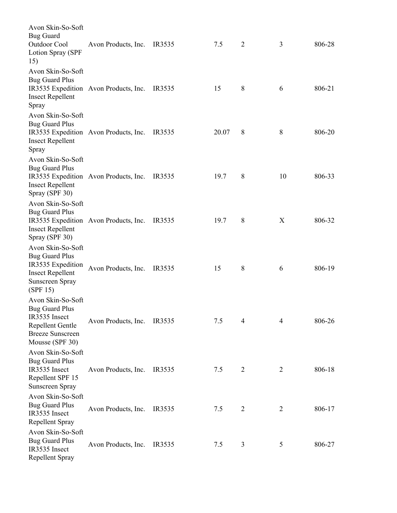| Avon Skin-So-Soft<br><b>Bug Guard</b><br>Outdoor Cool<br>Lotion Spray (SPF<br>15)                                                | Avon Products, Inc.                   | IR3535 | 7.5   | $\overline{2}$ | 3              | 806-28 |
|----------------------------------------------------------------------------------------------------------------------------------|---------------------------------------|--------|-------|----------------|----------------|--------|
| Avon Skin-So-Soft<br><b>Bug Guard Plus</b><br><b>Insect Repellent</b><br>Spray                                                   | IR3535 Expedition Avon Products, Inc. | IR3535 | 15    | 8              | 6              | 806-21 |
| Avon Skin-So-Soft<br><b>Bug Guard Plus</b><br><b>Insect Repellent</b><br>Spray                                                   | IR3535 Expedition Avon Products, Inc. | IR3535 | 20.07 | 8              | 8              | 806-20 |
| Avon Skin-So-Soft<br><b>Bug Guard Plus</b><br><b>Insect Repellent</b><br>Spray (SPF 30)                                          | IR3535 Expedition Avon Products, Inc. | IR3535 | 19.7  | 8              | 10             | 806-33 |
| Avon Skin-So-Soft<br><b>Bug Guard Plus</b><br><b>Insect Repellent</b><br>Spray (SPF 30)                                          | IR3535 Expedition Avon Products, Inc. | IR3535 | 19.7  | 8              | X              | 806-32 |
| Avon Skin-So-Soft<br><b>Bug Guard Plus</b><br>IR3535 Expedition<br><b>Insect Repellent</b><br><b>Sunscreen Spray</b><br>(SPF 15) | Avon Products, Inc.                   | IR3535 | 15    | 8              | 6              | 806-19 |
| Avon Skin-So-Soft<br><b>Bug Guard Plus</b><br>IR3535 Insect<br>Repellent Gentle<br><b>Breeze Sunscreen</b><br>Mousse (SPF 30)    | Avon Products, Inc.                   | IR3535 | 7.5   | 4              | 4              | 806-26 |
| Avon Skin-So-Soft<br><b>Bug Guard Plus</b><br>IR3535 Insect<br>Repellent SPF 15<br>Sunscreen Spray                               | Avon Products, Inc.                   | IR3535 | 7.5   | $\overline{2}$ | $\overline{2}$ | 806-18 |
| Avon Skin-So-Soft<br><b>Bug Guard Plus</b><br>IR3535 Insect<br>Repellent Spray                                                   | Avon Products, Inc.                   | IR3535 | 7.5   | $\overline{2}$ | $\overline{2}$ | 806-17 |
| Avon Skin-So-Soft<br><b>Bug Guard Plus</b><br>IR3535 Insect<br>Repellent Spray                                                   | Avon Products, Inc.                   | IR3535 | 7.5   | 3              | 5              | 806-27 |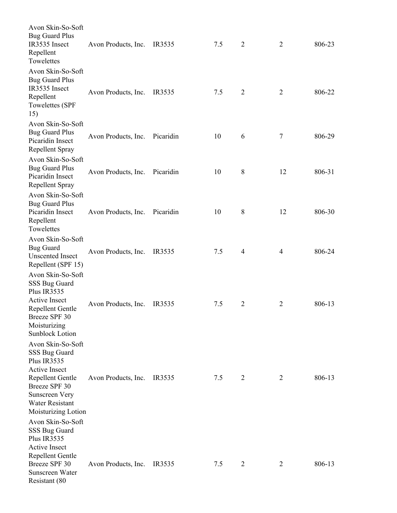| Avon Skin-So-Soft<br><b>Bug Guard Plus</b><br>IR3535 Insect<br>Repellent<br>Towelettes                                                                              | Avon Products, Inc. | IR3535    | 7.5 | $\overline{2}$ | $\overline{2}$   | 806-23 |
|---------------------------------------------------------------------------------------------------------------------------------------------------------------------|---------------------|-----------|-----|----------------|------------------|--------|
| Avon Skin-So-Soft<br><b>Bug Guard Plus</b><br>IR3535 Insect<br>Repellent<br>Towelettes (SPF<br>15)                                                                  | Avon Products, Inc. | IR3535    | 7.5 | $\overline{2}$ | $\overline{2}$   | 806-22 |
| Avon Skin-So-Soft<br><b>Bug Guard Plus</b><br>Picaridin Insect<br>Repellent Spray                                                                                   | Avon Products, Inc. | Picaridin | 10  | 6              | $\boldsymbol{7}$ | 806-29 |
| Avon Skin-So-Soft<br><b>Bug Guard Plus</b><br>Picaridin Insect<br>Repellent Spray                                                                                   | Avon Products, Inc. | Picaridin | 10  | 8              | 12               | 806-31 |
| Avon Skin-So-Soft<br><b>Bug Guard Plus</b><br>Picaridin Insect<br>Repellent<br>Towelettes                                                                           | Avon Products, Inc. | Picaridin | 10  | $8\,$          | 12               | 806-30 |
| Avon Skin-So-Soft<br><b>Bug Guard</b><br><b>Unscented Insect</b><br>Repellent (SPF 15)                                                                              | Avon Products, Inc. | IR3535    | 7.5 | $\overline{4}$ | $\overline{4}$   | 806-24 |
| Avon Skin-So-Soft<br>SSS Bug Guard<br>Plus IR3535<br><b>Active Insect</b><br>Repellent Gentle<br>Breeze SPF 30<br>Moisturizing<br><b>Sunblock Lotion</b>            | Avon Products, Inc. | IR3535    | 7.5 | $\overline{2}$ | $\overline{2}$   | 806-13 |
| Avon Skin-So-Soft<br>SSS Bug Guard<br>Plus IR3535<br>Active Insect<br>Repellent Gentle<br>Breeze SPF 30<br>Sunscreen Very<br>Water Resistant<br>Moisturizing Lotion | Avon Products, Inc. | IR3535    | 7.5 | $\overline{2}$ | 2                | 806-13 |
| Avon Skin-So-Soft<br>SSS Bug Guard<br>Plus IR3535<br><b>Active Insect</b><br>Repellent Gentle<br>Breeze SPF 30<br>Sunscreen Water<br>Resistant (80                  | Avon Products, Inc. | IR3535    | 7.5 | 2              | 2                | 806-13 |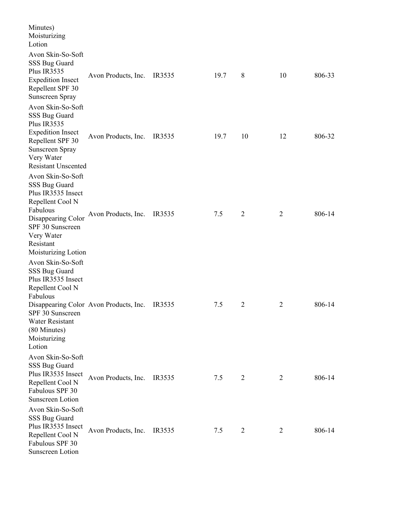| Minutes)<br>Moisturizing<br>Lotion                                                                                                                                                                                 |                                        |        |      |                |                |        |
|--------------------------------------------------------------------------------------------------------------------------------------------------------------------------------------------------------------------|----------------------------------------|--------|------|----------------|----------------|--------|
| Avon Skin-So-Soft<br>SSS Bug Guard<br>Plus IR3535<br><b>Expedition Insect</b><br>Repellent SPF 30<br>Sunscreen Spray                                                                                               | Avon Products, Inc.                    | IR3535 | 19.7 | 8              | 10             | 806-33 |
| Avon Skin-So-Soft<br>SSS Bug Guard<br>Plus IR3535<br><b>Expedition Insect</b><br>Repellent SPF 30<br><b>Sunscreen Spray</b><br>Very Water                                                                          | Avon Products, Inc.                    | IR3535 | 19.7 | 10             | 12             | 806-32 |
| <b>Resistant Unscented</b><br>Avon Skin-So-Soft<br>SSS Bug Guard<br>Plus IR3535 Insect<br>Repellent Cool N<br>Fabulous<br>Disappearing Color<br>SPF 30 Sunscreen<br>Very Water<br>Resistant<br>Moisturizing Lotion | Avon Products, Inc.                    | IR3535 | 7.5  | $\overline{2}$ | $\overline{2}$ | 806-14 |
| Avon Skin-So-Soft<br>SSS Bug Guard<br>Plus IR3535 Insect<br>Repellent Cool N<br>Fabulous<br>SPF 30 Sunscreen<br>Water Resistant<br>(80 Minutes)<br>Moisturizing<br>Lotion                                          | Disappearing Color Avon Products, Inc. | IR3535 | 7.5  | $\overline{2}$ | $\overline{2}$ | 806-14 |
| Avon Skin-So-Soft<br>SSS Bug Guard<br>Plus IR3535 Insect<br>Repellent Cool N<br>Fabulous SPF 30<br><b>Sunscreen Lotion</b>                                                                                         | Avon Products, Inc.                    | IR3535 | 7.5  | $\overline{2}$ | $\overline{2}$ | 806-14 |
| Avon Skin-So-Soft<br>SSS Bug Guard<br>Plus IR3535 Insect<br>Repellent Cool N<br>Fabulous SPF 30<br><b>Sunscreen Lotion</b>                                                                                         | Avon Products, Inc.                    | IR3535 | 7.5  | $\overline{2}$ | 2              | 806-14 |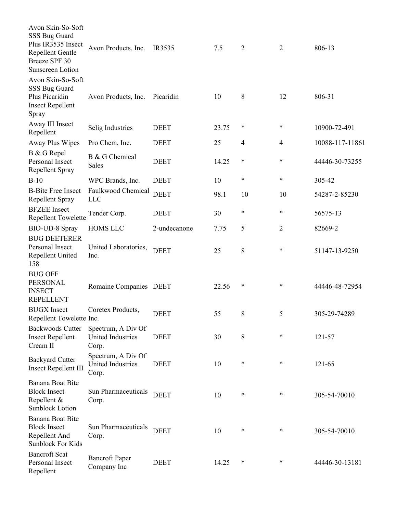| Avon Skin-So-Soft<br>SSS Bug Guard<br>Plus IR3535 Insect<br>Repellent Gentle<br>Breeze SPF 30<br><b>Sunscreen Lotion</b> | Avon Products, Inc.                                     | IR3535       | 7.5   | $\overline{2}$ | $\overline{2}$ | 806-13          |
|--------------------------------------------------------------------------------------------------------------------------|---------------------------------------------------------|--------------|-------|----------------|----------------|-----------------|
| Avon Skin-So-Soft<br>SSS Bug Guard<br>Plus Picaridin<br><b>Insect Repellent</b><br>Spray                                 | Avon Products, Inc.                                     | Picaridin    | 10    | 8              | 12             | 806-31          |
| Away III Insect<br>Repellent                                                                                             | Selig Industries                                        | <b>DEET</b>  | 23.75 | *              | *              | 10900-72-491    |
| Away Plus Wipes                                                                                                          | Pro Chem, Inc.                                          | <b>DEET</b>  | 25    | 4              | $\overline{4}$ | 10088-117-11861 |
| B & G Repel<br>Personal Insect<br>Repellent Spray                                                                        | B & G Chemical<br><b>Sales</b>                          | <b>DEET</b>  | 14.25 | *              | *              | 44446-30-73255  |
| $B-10$                                                                                                                   | WPC Brands, Inc.                                        | <b>DEET</b>  | 10    | $\ast$         | *              | 305-42          |
| <b>B-Bite Free Insect</b><br>Repellent Spray                                                                             | Faulkwood Chemical<br><b>LLC</b>                        | <b>DEET</b>  | 98.1  | 10             | 10             | 54287-2-85230   |
| <b>BFZEE</b> Insect<br><b>Repellent Towelette</b>                                                                        | Tender Corp.                                            | <b>DEET</b>  | 30    | $\ast$         | *              | 56575-13        |
| BIO-UD-8 Spray                                                                                                           | <b>HOMS LLC</b>                                         | 2-undecanone | 7.75  | 5              | $\overline{2}$ | 82669-2         |
| <b>BUG DEETERER</b><br>Personal Insect<br>Repellent United<br>158                                                        | United Laboratories,<br>Inc.                            | <b>DEET</b>  | 25    | 8              | $\ast$         | 51147-13-9250   |
| <b>BUG OFF</b><br><b>PERSONAL</b><br><b>INSECT</b><br><b>REPELLENT</b>                                                   | Romaine Companies DEET                                  |              | 22.56 | $\ast$         | $\ast$         | 44446-48-72954  |
| <b>BUGX</b> Insect<br>Repellent Towelette Inc.                                                                           | Coretex Products,                                       | <b>DEET</b>  | 55    | 8              | 5              | 305-29-74289    |
| <b>Backwoods Cutter</b><br><b>Insect Repellent</b><br>Cream II                                                           | Spectrum, A Div Of<br>United Industries<br>Corp.        | <b>DEET</b>  | 30    | $8\,$          | $\ast$         | 121-57          |
| <b>Backyard Cutter</b><br><b>Insect Repellent III</b>                                                                    | Spectrum, A Div Of<br><b>United Industries</b><br>Corp. | <b>DEET</b>  | 10    | $\ast$         | *              | 121-65          |
| Banana Boat Bite<br><b>Block Insect</b><br>Repellent &<br><b>Sunblock Lotion</b>                                         | Sun Pharmaceuticals<br>Corp.                            | <b>DEET</b>  | 10    | $\ast$         | *              | 305-54-70010    |
| Banana Boat Bite<br><b>Block Insect</b><br>Repellent And<br><b>Sunblock For Kids</b>                                     | Sun Pharmaceuticals<br>Corp.                            | <b>DEET</b>  | 10    | $\ast$         | *              | 305-54-70010    |
| <b>Bancroft Scat</b><br>Personal Insect<br>Repellent                                                                     | <b>Bancroft Paper</b><br>Company Inc                    | <b>DEET</b>  | 14.25 | $\ast$         | *              | 44446-30-13181  |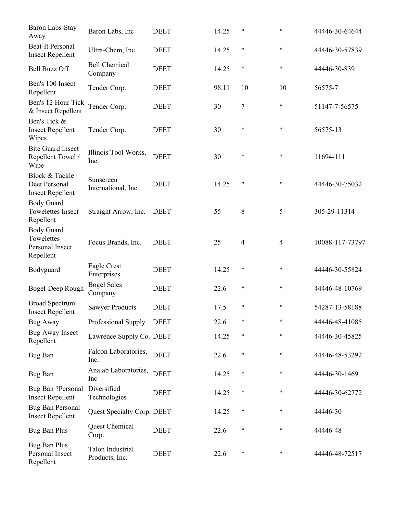| Baron Labs-Stay<br>Away                                         | Baron Labs, Inc                    | <b>DEET</b> | 14.25 | *              | *              | 44446-30-64644  |
|-----------------------------------------------------------------|------------------------------------|-------------|-------|----------------|----------------|-----------------|
| <b>Beat-It Personal</b><br><b>Insect Repellent</b>              | Ultra-Chem, Inc.                   | <b>DEET</b> | 14.25 | $\ast$         | $\ast$         | 44446-30-57839  |
| <b>Bell Buzz Off</b>                                            | <b>Bell Chemical</b><br>Company    | <b>DEET</b> | 14.25 | $\ast$         | $\ast$         | 44446-30-839    |
| Ben's 100 Insect<br>Repellent                                   | Tender Corp.                       | <b>DEET</b> | 98.11 | 10             | 10             | 56575-7         |
| Ben's 12 Hour Tick<br>& Insect Repellent                        | Tender Corp.                       | <b>DEET</b> | 30    | 7              | $\ast$         | 51147-7-56575   |
| Ben's Tick &<br><b>Insect Repellent</b><br>Wipes                | Tender Corp.                       | <b>DEET</b> | 30    | $\ast$         | *              | 56575-13        |
| <b>Bite Guard Insect</b><br>Repellent Towel /<br>Wipe           | Illinois Tool Works,<br>Inc.       | <b>DEET</b> | 30    | $\ast$         | *              | 11694-111       |
| Block & Tackle<br>Deet Personal<br><b>Insect Repellent</b>      | Sunscreen<br>International, Inc.   | <b>DEET</b> | 14.25 | $\ast$         | $\ast$         | 44446-30-75032  |
| <b>Body Guard</b><br><b>Towelettes Insect</b><br>Repellent      | Straight Arrow, Inc.               | <b>DEET</b> | 55    | 8              | 5              | 305-29-11314    |
| <b>Body Guard</b><br>Towelettes<br>Personal Insect<br>Repellent | Focus Brands, Inc.                 | <b>DEET</b> | 25    | $\overline{4}$ | $\overline{4}$ | 10088-117-73797 |
| Bodyguard                                                       | Eagle Crest<br>Enterprises         | <b>DEET</b> | 14.25 | $\ast$         | $\ast$         | 44446-30-55824  |
| Bogel-Deep Rough                                                | <b>Bogel Sales</b><br>Company      | <b>DEET</b> | 22.6  | $\ast$         | $\ast$         | 44446-48-10769  |
| <b>Broad Spectrum</b><br><b>Insect Repellent</b>                | <b>Sawyer Products</b>             | <b>DEET</b> | 17.5  | *              | *              | 54287-13-58188  |
| Bug Away                                                        | Professional Supply                | <b>DEET</b> | 22.6  | $\ast$         | *              | 44446-48-41085  |
| <b>Bug Away Insect</b><br>Repellent                             | Lawrence Supply Co. DEET           |             | 14.25 | *              | $\ast$         | 44446-30-45825  |
| <b>Bug Ban</b>                                                  | Falcon Laboratories,<br>Inc.       | <b>DEET</b> | 22.6  | *              | $\ast$         | 44446-48-53292  |
| <b>Bug Ban</b>                                                  | Analab Laboratories,<br>Inc        | <b>DEET</b> | 14.25 | $\ast$         | $\ast$         | 44446-30-1469   |
| Bug Ban ?Personal<br><b>Insect Repellent</b>                    | Diversified<br>Technologies        | <b>DEET</b> | 14.25 | *              | $\ast$         | 44446-30-62772  |
| <b>Bug Ban Personal</b><br><b>Insect Repellent</b>              | Quest Specialty Corp. DEET         |             | 14.25 | $\ast$         | $\ast$         | 44446-30        |
| <b>Bug Ban Plus</b>                                             | Quest Chemical<br>Corp.            | <b>DEET</b> | 22.6  | $\ast$         | $\ast$         | 44446-48        |
| Bug Ban Plus<br>Personal Insect<br>Repellent                    | Talon Industrial<br>Products, Inc. | <b>DEET</b> | 22.6  | $\ast$         | $\ast$         | 44446-48-72517  |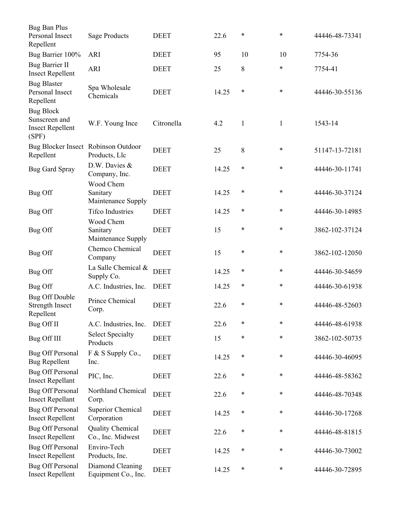| Bug Ban Plus<br>Personal Insect<br>Repellent                          | <b>Sage Products</b>                         | <b>DEET</b> | 22.6  | $\ast$       | $\ast$       | 44446-48-73341 |
|-----------------------------------------------------------------------|----------------------------------------------|-------------|-------|--------------|--------------|----------------|
| Bug Barrier 100%                                                      | ARI                                          | <b>DEET</b> | 95    | 10           | 10           | 7754-36        |
| <b>Bug Barrier II</b><br><b>Insect Repellent</b>                      | <b>ARI</b>                                   | <b>DEET</b> | 25    | 8            | $\ast$       | 7754-41        |
| <b>Bug Blaster</b><br>Personal Insect<br>Repellent                    | Spa Wholesale<br>Chemicals                   | <b>DEET</b> | 14.25 | $\ast$       | $\ast$       | 44446-30-55136 |
| <b>Bug Block</b><br>Sunscreen and<br><b>Insect Repellent</b><br>(SPF) | W.F. Young Ince                              | Citronella  | 4.2   | $\mathbf{1}$ | $\mathbf{1}$ | 1543-14        |
| Bug Blocker Insect Robinson Outdoor<br>Repellent                      | Products, Llc                                | <b>DEET</b> | 25    | 8            | $\ast$       | 51147-13-72181 |
| <b>Bug Gard Spray</b>                                                 | D.W. Davies &<br>Company, Inc.               | <b>DEET</b> | 14.25 | $\ast$       | $\ast$       | 44446-30-11741 |
| Bug Off                                                               | Wood Chem<br>Sanitary<br>Maintenance Supply  | <b>DEET</b> | 14.25 | $\ast$       | $\ast$       | 44446-30-37124 |
| Bug Off                                                               | <b>Tifco Industries</b>                      | <b>DEET</b> | 14.25 | $\ast$       | $\ast$       | 44446-30-14985 |
| Bug Off                                                               | Wood Chem<br>Sanitary<br>Maintenance Supply  | <b>DEET</b> | 15    | $\ast$       | $\ast$       | 3862-102-37124 |
| Bug Off                                                               | Chemco Chemical<br>Company                   | <b>DEET</b> | 15    | $\ast$       | *            | 3862-102-12050 |
| Bug Off                                                               | La Salle Chemical &<br>Supply Co.            | <b>DEET</b> | 14.25 | $\ast$       | *            | 44446-30-54659 |
| Bug Off                                                               | A.C. Industries, Inc.                        | <b>DEET</b> | 14.25 | $\ast$       | *            | 44446-30-61938 |
| <b>Bug Off Double</b><br><b>Strength Insect</b><br>Repellent          | Prince Chemical<br>Corp.                     | <b>DEET</b> | 22.6  | $\ast$       | $\ast$       | 44446-48-52603 |
| Bug Off II                                                            | A.C. Industries, Inc.                        | <b>DEET</b> | 22.6  | $\ast$       | *            | 44446-48-61938 |
| Bug Off III                                                           | <b>Select Specialty</b><br>Products          | <b>DEET</b> | 15    | $\ast$       | $\ast$       | 3862-102-50735 |
| Bug Off Personal<br><b>Bug Repellent</b>                              | F & S Supply Co.,<br>Inc.                    | <b>DEET</b> | 14.25 | $\ast$       | $\ast$       | 44446-30-46095 |
| <b>Bug Off Personal</b><br><b>Insect Repellant</b>                    | PIC, Inc.                                    | <b>DEET</b> | 22.6  | $\ast$       | $\ast$       | 44446-48-58362 |
| <b>Bug Off Personal</b><br><b>Insect Repellant</b>                    | Northland Chemical<br>Corp.                  | <b>DEET</b> | 22.6  | $\ast$       | $\ast$       | 44446-48-70348 |
| <b>Bug Off Personal</b><br><b>Insect Repellent</b>                    | <b>Superior Chemical</b><br>Corporation      | <b>DEET</b> | 14.25 | $\ast$       | $\ast$       | 44446-30-17268 |
| <b>Bug Off Personal</b><br><b>Insect Repellent</b>                    | <b>Quality Chemical</b><br>Co., Inc. Midwest | <b>DEET</b> | 22.6  | $\ast$       | $\ast$       | 44446-48-81815 |
| <b>Bug Off Personal</b><br><b>Insect Repellent</b>                    | Enviro-Tech<br>Products, Inc.                | <b>DEET</b> | 14.25 | $\ast$       | *            | 44446-30-73002 |
| <b>Bug Off Personal</b><br><b>Insect Repellent</b>                    | Diamond Cleaning<br>Equipment Co., Inc.      | <b>DEET</b> | 14.25 | $\ast$       | $\ast$       | 44446-30-72895 |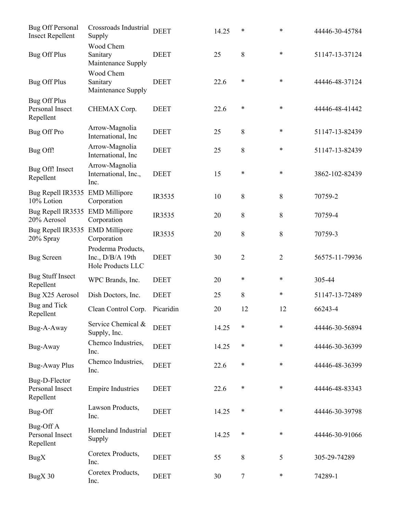| Bug Off Personal<br><b>Insect Repellent</b>         | Crossroads Industrial<br>Supply                                      | <b>DEET</b> | 14.25 | $\ast$         | $\ast$         | 44446-30-45784 |
|-----------------------------------------------------|----------------------------------------------------------------------|-------------|-------|----------------|----------------|----------------|
| <b>Bug Off Plus</b>                                 | Wood Chem<br>Sanitary<br>Maintenance Supply                          | <b>DEET</b> | 25    | 8              | $\ast$         | 51147-13-37124 |
| <b>Bug Off Plus</b>                                 | Wood Chem<br>Sanitary<br>Maintenance Supply                          | <b>DEET</b> | 22.6  | $\ast$         | $\ast$         | 44446-48-37124 |
| <b>Bug Off Plus</b><br>Personal Insect<br>Repellent | CHEMAX Corp.                                                         | <b>DEET</b> | 22.6  | $\ast$         | $\ast$         | 44446-48-41442 |
| Bug Off Pro                                         | Arrow-Magnolia<br>International, Inc                                 | <b>DEET</b> | 25    | 8              | $\ast$         | 51147-13-82439 |
| Bug Off!                                            | Arrow-Magnolia<br>International, Inc                                 | <b>DEET</b> | 25    | 8              | $\ast$         | 51147-13-82439 |
| Bug Off! Insect<br>Repellent                        | Arrow-Magnolia<br>International, Inc.,<br>Inc.                       | <b>DEET</b> | 15    | *              | *              | 3862-102-82439 |
| Bug Repell IR3535<br>10% Lotion                     | <b>EMD Millipore</b><br>Corporation                                  | IR3535      | 10    | 8              | 8              | 70759-2        |
| Bug Repell IR3535<br>20% Aerosol                    | <b>EMD Millipore</b><br>Corporation                                  | IR3535      | 20    | $8\,$          | 8              | 70759-4        |
| Bug Repell IR3535<br>20% Spray                      | <b>EMD Millipore</b><br>Corporation                                  | IR3535      | 20    | 8              | 8              | 70759-3        |
| <b>Bug Screen</b>                                   | Proderma Products,<br>Inc., $D/B/A$ 19th<br><b>Hole Products LLC</b> | <b>DEET</b> | 30    | $\overline{2}$ | $\overline{c}$ | 56575-11-79936 |
| <b>Bug Stuff Insect</b><br>Repellent                | WPC Brands, Inc.                                                     | <b>DEET</b> | 20    | $\ast$         | $\ast$         | 305-44         |
| Bug X25 Aerosol                                     | Dish Doctors, Inc.                                                   | <b>DEET</b> | 25    | 8              | $\ast$         | 51147-13-72489 |
| Bug and Tick<br>Repellent                           | Clean Control Corp.                                                  | Picaridin   | 20    | 12             | 12             | 66243-4        |
| Bug-A-Away                                          | Service Chemical &<br>Supply, Inc.                                   | <b>DEET</b> | 14.25 | $\ast$         | $\ast$         | 44446-30-56894 |
| Bug-Away                                            | Chemco Industries,<br>Inc.                                           | <b>DEET</b> | 14.25 | $\ast$         | $\ast$         | 44446-30-36399 |
| Bug-Away Plus                                       | Chemco Industries,<br>Inc.                                           | <b>DEET</b> | 22.6  | $\ast$         | $\ast$         | 44446-48-36399 |
| Bug-D-Flector<br>Personal Insect<br>Repellent       | <b>Empire Industries</b>                                             | <b>DEET</b> | 22.6  | $\ast$         | $\ast$         | 44446-48-83343 |
| Bug-Off                                             | Lawson Products,<br>Inc.                                             | <b>DEET</b> | 14.25 | $\ast$         | $\ast$         | 44446-30-39798 |
| Bug-Off A<br>Personal Insect<br>Repellent           | Homeland Industrial<br>Supply                                        | <b>DEET</b> | 14.25 | $\ast$         | $\ast$         | 44446-30-91066 |
| <b>BugX</b>                                         | Coretex Products,<br>Inc.                                            | <b>DEET</b> | 55    | 8              | 5              | 305-29-74289   |
| BugX 30                                             | Coretex Products,<br>Inc.                                            | <b>DEET</b> | 30    | $\tau$         | $\ast$         | 74289-1        |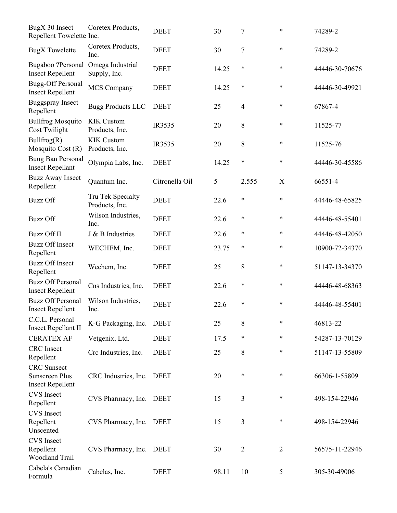| BugX 30 Insect<br>Repellent Towelette Inc.                             | Coretex Products,                   | <b>DEET</b>    | 30    | $\boldsymbol{7}$ | $\ast$         | 74289-2        |
|------------------------------------------------------------------------|-------------------------------------|----------------|-------|------------------|----------------|----------------|
| <b>BugX</b> Towelette                                                  | Coretex Products,<br>Inc.           | <b>DEET</b>    | 30    | 7                | $\ast$         | 74289-2        |
| Bugaboo ?Personal<br><b>Insect Repellent</b>                           | Omega Industrial<br>Supply, Inc.    | <b>DEET</b>    | 14.25 | $\ast$           | $\ast$         | 44446-30-70676 |
| <b>Bugg-Off Personal</b><br><b>Insect Repellent</b>                    | <b>MCS Company</b>                  | <b>DEET</b>    | 14.25 | $\ast$           | $\ast$         | 44446-30-49921 |
| <b>Buggspray Insect</b><br>Repellent                                   | <b>Bugg Products LLC</b>            | <b>DEET</b>    | 25    | $\overline{4}$   | $\ast$         | 67867-4        |
| <b>Bullfrog Mosquito</b><br>Cost Twilight                              | <b>KIK Custom</b><br>Products, Inc. | IR3535         | 20    | 8                | $\ast$         | 11525-77       |
| Bullfrog(R)<br>Mosquito Cost (R)                                       | <b>KIK Custom</b><br>Products, Inc. | IR3535         | 20    | $8\,$            | $\ast$         | 11525-76       |
| Buug Ban Personal<br><b>Insect Repellant</b>                           | Olympia Labs, Inc.                  | <b>DEET</b>    | 14.25 | $\ast$           | $\ast$         | 44446-30-45586 |
| <b>Buzz Away Insect</b><br>Repellent                                   | Quantum Inc.                        | Citronella Oil | 5     | 2.555            | X              | 66551-4        |
| <b>Buzz Off</b>                                                        | Tru Tek Specialty<br>Products, Inc. | <b>DEET</b>    | 22.6  | $\ast$           | $\ast$         | 44446-48-65825 |
| <b>Buzz Off</b>                                                        | Wilson Industries,<br>Inc.          | <b>DEET</b>    | 22.6  | $\ast$           | $\ast$         | 44446-48-55401 |
| <b>Buzz Off II</b>                                                     | J & B Industries                    | <b>DEET</b>    | 22.6  | $\ast$           | $\ast$         | 44446-48-42050 |
| <b>Buzz Off Insect</b><br>Repellent                                    | WECHEM, Inc.                        | <b>DEET</b>    | 23.75 | $\ast$           | $\ast$         | 10900-72-34370 |
| <b>Buzz Off Insect</b><br>Repellent                                    | Wechem, Inc.                        | <b>DEET</b>    | 25    | 8                | $\ast$         | 51147-13-34370 |
| <b>Buzz Off Personal</b><br><b>Insect Repellent</b>                    | Cns Industries, Inc.                | <b>DEET</b>    | 22.6  | $\ast$           | $\ast$         | 44446-48-68363 |
| <b>Buzz Off Personal</b><br><b>Insect Repellent</b>                    | Wilson Industries,<br>Inc.          | <b>DEET</b>    | 22.6  | ∗                | *              | 44446-48-55401 |
| C.C.L. Personal<br><b>Insect Repellant II</b>                          | K-G Packaging, Inc.                 | <b>DEET</b>    | 25    | 8                | $\ast$         | 46813-22       |
| <b>CERATEX AF</b>                                                      | Vetgenix, Ltd.                      | <b>DEET</b>    | 17.5  | $\ast$           | $\ast$         | 54287-13-70129 |
| <b>CRC</b> Insect<br>Repellent                                         | Crc Industries, Inc.                | <b>DEET</b>    | 25    | 8                | $\ast$         | 51147-13-55809 |
| <b>CRC</b> Sunsect<br><b>Sunscreen Plus</b><br><b>Insect Repellent</b> | CRC Industries, Inc.                | <b>DEET</b>    | 20    | $\ast$           | $\ast$         | 66306-1-55809  |
| <b>CVS</b> Insect<br>Repellent                                         | CVS Pharmacy, Inc.                  | <b>DEET</b>    | 15    | 3                | $\ast$         | 498-154-22946  |
| <b>CVS</b> Insect<br>Repellent<br>Unscented                            | CVS Pharmacy, Inc.                  | <b>DEET</b>    | 15    | 3                | $\ast$         | 498-154-22946  |
| <b>CVS</b> Insect<br>Repellent<br><b>Woodland Trail</b>                | CVS Pharmacy, Inc.                  | <b>DEET</b>    | 30    | $\overline{2}$   | $\overline{2}$ | 56575-11-22946 |
| Cabela's Canadian<br>Formula                                           | Cabelas, Inc.                       | <b>DEET</b>    | 98.11 | 10               | 5              | 305-30-49006   |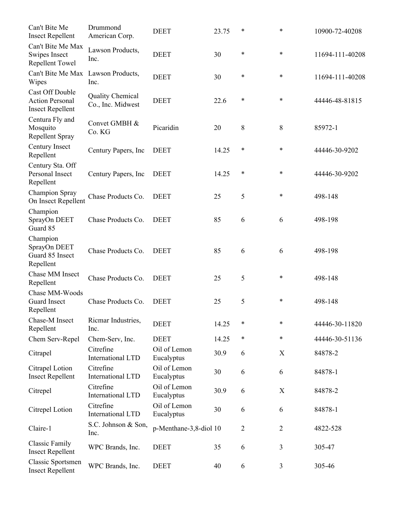| Can't Bite Me<br><b>Insect Repellent</b>                             | Drummond<br>American Corp.                   | <b>DEET</b>                | 23.75 | *              | $\ast$         | 10900-72-40208  |
|----------------------------------------------------------------------|----------------------------------------------|----------------------------|-------|----------------|----------------|-----------------|
| Can't Bite Me Max<br>Swipes Insect<br>Repellent Towel                | Lawson Products,<br>Inc.                     | <b>DEET</b>                | 30    | ∗              | $\ast$         | 11694-111-40208 |
| Can't Bite Me Max Lawson Products,<br>Wipes                          | Inc.                                         | <b>DEET</b>                | 30    | ∗              | $\ast$         | 11694-111-40208 |
| Cast Off Double<br><b>Action Personal</b><br><b>Insect Repellent</b> | <b>Quality Chemical</b><br>Co., Inc. Midwest | <b>DEET</b>                | 22.6  | ∗              | *              | 44446-48-81815  |
| Centura Fly and<br>Mosquito<br>Repellent Spray                       | Convet GMBH &<br>Co. KG                      | Picaridin                  | 20    | 8              | 8              | 85972-1         |
| Century Insect<br>Repellent                                          | Century Papers, Inc.                         | <b>DEET</b>                | 14.25 | $\ast$         | *              | 44446-30-9202   |
| Century Sta. Off<br>Personal Insect<br>Repellent                     | Century Papers, Inc.                         | <b>DEET</b>                | 14.25 | $\ast$         | *              | 44446-30-9202   |
| <b>Champion Spray</b><br>On Insect Repellent                         | Chase Products Co.                           | <b>DEET</b>                | 25    | 5              | *              | 498-148         |
| Champion<br>SprayOn DEET<br>Guard 85                                 | Chase Products Co.                           | <b>DEET</b>                | 85    | 6              | 6              | 498-198         |
| Champion<br>SprayOn DEET<br>Guard 85 Insect<br>Repellent             | Chase Products Co.                           | <b>DEET</b>                | 85    | 6              | 6              | 498-198         |
| Chase MM Insect<br>Repellent                                         | Chase Products Co.                           | <b>DEET</b>                | 25    | 5              | *              | 498-148         |
| Chase MM-Woods<br><b>Guard Insect</b><br>Repellent                   | Chase Products Co.                           | <b>DEET</b>                | 25    | 5              | *              | 498-148         |
| Chase-M Insect<br>Repellent                                          | Ricmar Industries,<br>Inc.                   | <b>DEET</b>                | 14.25 | ∗              | $\ast$         | 44446-30-11820  |
| Chem Serv-Repel                                                      | Chem-Serv, Inc.                              | <b>DEET</b>                | 14.25 | $\ast$         | $\ast$         | 44446-30-51136  |
| Citrapel                                                             | Citrefine<br><b>International LTD</b>        | Oil of Lemon<br>Eucalyptus | 30.9  | 6              | $\mathbf X$    | 84878-2         |
| Citrapel Lotion<br><b>Insect Repellent</b>                           | Citrefine<br>International LTD               | Oil of Lemon<br>Eucalyptus | 30    | 6              | 6              | 84878-1         |
| Citrepel                                                             | Citrefine<br><b>International LTD</b>        | Oil of Lemon<br>Eucalyptus | 30.9  | 6              | X              | 84878-2         |
| Citrepel Lotion                                                      | Citrefine<br>International LTD               | Oil of Lemon<br>Eucalyptus | 30    | 6              | 6              | 84878-1         |
| Claire-1                                                             | S.C. Johnson & Son,<br>Inc.                  | p-Menthane-3,8-diol 10     |       | $\overline{2}$ | $\overline{2}$ | 4822-528        |
| <b>Classic Family</b><br><b>Insect Repellent</b>                     | WPC Brands, Inc.                             | <b>DEET</b>                | 35    | 6              | 3              | 305-47          |
| <b>Classic Sportsmen</b><br><b>Insect Repellent</b>                  | WPC Brands, Inc.                             | <b>DEET</b>                | 40    | 6              | 3              | 305-46          |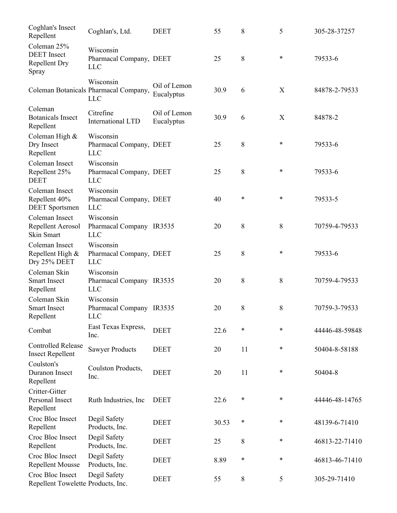| Coghlan's Insect<br>Repellent                                      | Coghlan's, Ltd.                                                  | <b>DEET</b>                | 55    | 8      | 5      | 305-28-37257   |
|--------------------------------------------------------------------|------------------------------------------------------------------|----------------------------|-------|--------|--------|----------------|
| Coleman 25%<br><b>DEET</b> Insect<br><b>Repellent Dry</b><br>Spray | Wisconsin<br>Pharmacal Company, DEET<br><b>LLC</b>               |                            | 25    | 8      | $\ast$ | 79533-6        |
|                                                                    | Wisconsin<br>Coleman Botanicals Pharmacal Company,<br><b>LLC</b> | Oil of Lemon<br>Eucalyptus | 30.9  | 6      | X      | 84878-2-79533  |
| Coleman<br><b>Botanicals Insect</b><br>Repellent                   | Citrefine<br>International LTD                                   | Oil of Lemon<br>Eucalyptus | 30.9  | 6      | X      | 84878-2        |
| Coleman High &<br>Dry Insect<br>Repellent                          | Wisconsin<br>Pharmacal Company, DEET<br><b>LLC</b>               |                            | 25    | 8      | $\ast$ | 79533-6        |
| Coleman Insect<br>Repellent 25%<br><b>DEET</b>                     | Wisconsin<br>Pharmacal Company, DEET<br><b>LLC</b>               |                            | 25    | 8      | *      | 79533-6        |
| Coleman Insect<br>Repellent 40%<br><b>DEET</b> Sportsmen           | Wisconsin<br>Pharmacal Company, DEET<br><b>LLC</b>               |                            | 40    | $\ast$ | $\ast$ | 79533-5        |
| Coleman Insect<br>Repellent Aerosol<br><b>Skin Smart</b>           | Wisconsin<br>Pharmacal Company IR3535<br><b>LLC</b>              |                            | 20    | 8      | 8      | 70759-4-79533  |
| Coleman Insect<br>Repellent High &<br>Dry 25% DEET                 | Wisconsin<br>Pharmacal Company, DEET<br><b>LLC</b>               |                            | 25    | 8      | *      | 79533-6        |
| Coleman Skin<br><b>Smart Insect</b><br>Repellent                   | Wisconsin<br>Pharmacal Company IR3535<br><b>LLC</b>              |                            | 20    | 8      | 8      | 70759-4-79533  |
| Coleman Skin<br><b>Smart Insect</b><br>Repellent                   | Wisconsin<br>Pharmacal Company IR3535<br>LLC                     |                            | 20    | 8      | 8      | 70759-3-79533  |
| Combat                                                             | East Texas Express,<br>Inc.                                      | <b>DEET</b>                | 22.6  | *      | $\ast$ | 44446-48-59848 |
| <b>Controlled Release</b><br><b>Insect Repellent</b>               | <b>Sawyer Products</b>                                           | <b>DEET</b>                | 20    | 11     | *      | 50404-8-58188  |
| Coulston's<br>Duranon Insect<br>Repellent                          | Coulston Products,<br>Inc.                                       | <b>DEET</b>                | 20    | 11     | *      | 50404-8        |
| Critter-Gitter<br>Personal Insect<br>Repellent                     | Ruth Industries, Inc                                             | <b>DEET</b>                | 22.6  | $\ast$ | *      | 44446-48-14765 |
| Croc Bloc Insect<br>Repellent                                      | Degil Safety<br>Products, Inc.                                   | <b>DEET</b>                | 30.53 | $\ast$ | $\ast$ | 48139-6-71410  |
| Croc Bloc Insect<br>Repellent                                      | Degil Safety<br>Products, Inc.                                   | <b>DEET</b>                | 25    | 8      | $\ast$ | 46813-22-71410 |
| Croc Bloc Insect<br>Repellent Mousse                               | Degil Safety<br>Products, Inc.                                   | <b>DEET</b>                | 8.89  | $\ast$ | $\ast$ | 46813-46-71410 |
| Croc Bloc Insect<br>Repellent Towelette Products, Inc.             | Degil Safety                                                     | <b>DEET</b>                | 55    | 8      | 5      | 305-29-71410   |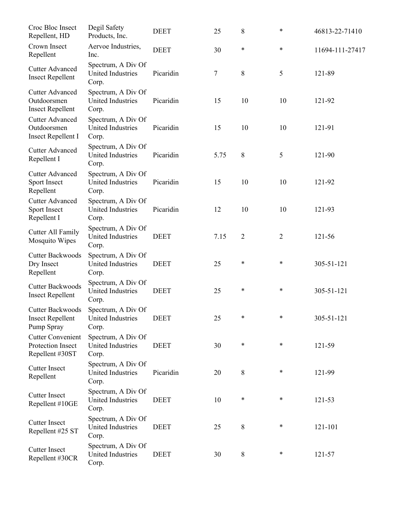| Croc Bloc Insect<br>Repellent, HD                                  | Degil Safety<br>Products, Inc.                          | <b>DEET</b> | 25   | 8              | *      | 46813-22-71410  |
|--------------------------------------------------------------------|---------------------------------------------------------|-------------|------|----------------|--------|-----------------|
| Crown Insect<br>Repellent                                          | Aervoe Industries,<br>Inc.                              | <b>DEET</b> | 30   | $\ast$         | *      | 11694-111-27417 |
| <b>Cutter Advanced</b><br><b>Insect Repellent</b>                  | Spectrum, A Div Of<br><b>United Industries</b><br>Corp. | Picaridin   | 7    | 8              | 5      | 121-89          |
| <b>Cutter Advanced</b><br>Outdoorsmen<br><b>Insect Repellent</b>   | Spectrum, A Div Of<br><b>United Industries</b><br>Corp. | Picaridin   | 15   | 10             | 10     | 121-92          |
| <b>Cutter Advanced</b><br>Outdoorsmen<br><b>Insect Repellent I</b> | Spectrum, A Div Of<br><b>United Industries</b><br>Corp. | Picaridin   | 15   | 10             | 10     | 121-91          |
| <b>Cutter Advanced</b><br>Repellent I                              | Spectrum, A Div Of<br><b>United Industries</b><br>Corp. | Picaridin   | 5.75 | 8              | 5      | 121-90          |
| <b>Cutter Advanced</b><br>Sport Insect<br>Repellent                | Spectrum, A Div Of<br><b>United Industries</b><br>Corp. | Picaridin   | 15   | 10             | 10     | 121-92          |
| <b>Cutter Advanced</b><br>Sport Insect<br>Repellent I              | Spectrum, A Div Of<br><b>United Industries</b><br>Corp. | Picaridin   | 12   | 10             | 10     | 121-93          |
| Cutter All Family<br>Mosquito Wipes                                | Spectrum, A Div Of<br><b>United Industries</b><br>Corp. | <b>DEET</b> | 7.15 | $\overline{2}$ | 2      | 121-56          |
| <b>Cutter Backwoods</b><br>Dry Insect<br>Repellent                 | Spectrum, A Div Of<br><b>United Industries</b><br>Corp. | <b>DEET</b> | 25   | $\ast$         | *      | 305-51-121      |
| <b>Cutter Backwoods</b><br><b>Insect Repellent</b>                 | Spectrum, A Div Of<br>United Industries<br>Corp.        | <b>DEET</b> | 25   | $\ast$         | *      | 305-51-121      |
| Cutter Backwoods<br><b>Insect Repellent</b><br>Pump Spray          | Spectrum, A Div Of<br><b>United Industries</b><br>Corp. | <b>DEET</b> | 25   | $\ast$         | $\ast$ | 305-51-121      |
| <b>Cutter Convenient</b><br>Protection Insect<br>Repellent #30ST   | Spectrum, A Div Of<br><b>United Industries</b><br>Corp. | <b>DEET</b> | 30   | $\ast$         | $\ast$ | 121-59          |
| <b>Cutter Insect</b><br>Repellent                                  | Spectrum, A Div Of<br>United Industries<br>Corp.        | Picaridin   | 20   | 8              | ∗      | 121-99          |
| <b>Cutter Insect</b><br>Repellent #10GE                            | Spectrum, A Div Of<br><b>United Industries</b><br>Corp. | <b>DEET</b> | 10   | $\ast$         | $\ast$ | 121-53          |
| <b>Cutter Insect</b><br>Repellent #25 ST                           | Spectrum, A Div Of<br>United Industries<br>Corp.        | <b>DEET</b> | 25   | 8              | ∗      | 121-101         |
| <b>Cutter Insect</b><br>Repellent #30CR                            | Spectrum, A Div Of<br><b>United Industries</b><br>Corp. | <b>DEET</b> | 30   | $8\,$          | ∗      | 121-57          |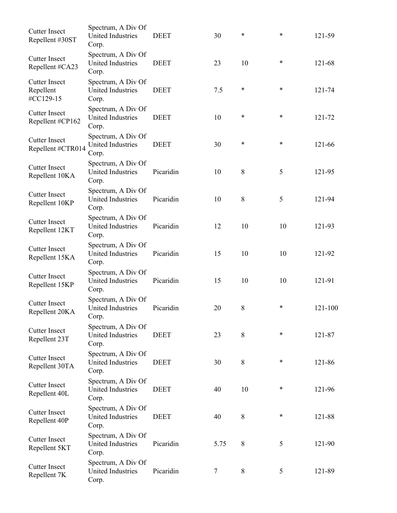| Spectrum, A Div Of<br><b>United Industries</b><br>Corp. | <b>DEET</b> | 30     | $\ast$ | $\ast$ | 121-59  |
|---------------------------------------------------------|-------------|--------|--------|--------|---------|
| Spectrum, A Div Of<br><b>United Industries</b><br>Corp. | <b>DEET</b> | 23     | 10     | $\ast$ | 121-68  |
| Spectrum, A Div Of<br><b>United Industries</b><br>Corp. | <b>DEET</b> | 7.5    | $\ast$ | $\ast$ | 121-74  |
| Spectrum, A Div Of<br><b>United Industries</b><br>Corp. | <b>DEET</b> | 10     | $\ast$ | $\ast$ | 121-72  |
| Spectrum, A Div Of<br><b>United Industries</b><br>Corp. | <b>DEET</b> | 30     | $\ast$ | $\ast$ | 121-66  |
| Spectrum, A Div Of<br>United Industries<br>Corp.        | Picaridin   | 10     | $8\,$  | 5      | 121-95  |
| Spectrum, A Div Of<br><b>United Industries</b><br>Corp. | Picaridin   | 10     | 8      | 5      | 121-94  |
| Spectrum, A Div Of<br>United Industries<br>Corp.        | Picaridin   | 12     | 10     | 10     | 121-93  |
| Spectrum, A Div Of<br><b>United Industries</b><br>Corp. | Picaridin   | 15     | 10     | 10     | 121-92  |
| Spectrum, A Div Of<br>United Industries<br>Corp.        | Picaridin   | 15     | 10     | 10     | 121-91  |
| Spectrum, A Div Of<br><b>United Industries</b><br>Corp. | Picaridin   | 20     | 8      | *      | 121-100 |
| Spectrum, A Div Of<br><b>United Industries</b><br>Corp. | <b>DEET</b> | 23     | 8      | $\ast$ | 121-87  |
| Spectrum, A Div Of<br><b>United Industries</b><br>Corp. | <b>DEET</b> | 30     | 8      | $\ast$ | 121-86  |
| Spectrum, A Div Of<br><b>United Industries</b><br>Corp. | <b>DEET</b> | 40     | 10     | $\ast$ | 121-96  |
| Spectrum, A Div Of<br><b>United Industries</b><br>Corp. | <b>DEET</b> | 40     | 8      | $\ast$ | 121-88  |
| Spectrum, A Div Of<br><b>United Industries</b><br>Corp. | Picaridin   | 5.75   | 8      | 5      | 121-90  |
| Spectrum, A Div Of<br><b>United Industries</b><br>Corp. | Picaridin   | $\tau$ | 8      | 5      | 121-89  |
|                                                         |             |        |        |        |         |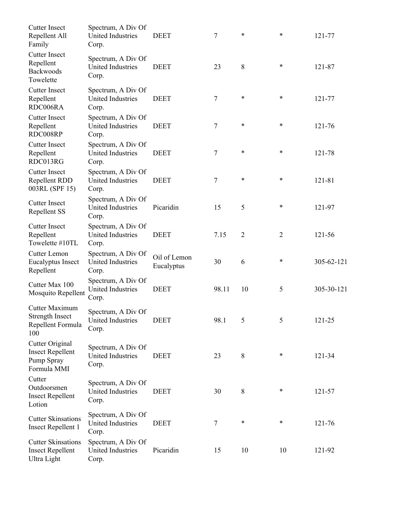| <b>Cutter Insect</b><br>Repellent All<br>Family                         | Spectrum, A Div Of<br><b>United Industries</b><br>Corp. | <b>DEET</b>                | 7     | *              | $\ast$         | 121-77     |
|-------------------------------------------------------------------------|---------------------------------------------------------|----------------------------|-------|----------------|----------------|------------|
| <b>Cutter Insect</b><br>Repellent<br><b>Backwoods</b><br>Towelette      | Spectrum, A Div Of<br><b>United Industries</b><br>Corp. | <b>DEET</b>                | 23    | 8              | $\ast$         | 121-87     |
| <b>Cutter Insect</b><br>Repellent<br>RDC006RA                           | Spectrum, A Div Of<br><b>United Industries</b><br>Corp. | <b>DEET</b>                | 7     | *              | $\ast$         | 121-77     |
| <b>Cutter Insect</b><br>Repellent<br>RDC008RP                           | Spectrum, A Div Of<br><b>United Industries</b><br>Corp. | <b>DEET</b>                | 7     | *              | $\ast$         | 121-76     |
| <b>Cutter Insect</b><br>Repellent<br>RDC013RG                           | Spectrum, A Div Of<br><b>United Industries</b><br>Corp. | <b>DEET</b>                | 7     | *              | $\ast$         | 121-78     |
| <b>Cutter Insect</b><br>Repellent RDD<br>003RL (SPF 15)                 | Spectrum, A Div Of<br><b>United Industries</b><br>Corp. | <b>DEET</b>                | 7     | *              | $\ast$         | 121-81     |
| <b>Cutter Insect</b><br>Repellent SS                                    | Spectrum, A Div Of<br><b>United Industries</b><br>Corp. | Picaridin                  | 15    | 5              | $\ast$         | 121-97     |
| <b>Cutter Insect</b><br>Repellent<br>Towelette #10TL                    | Spectrum, A Div Of<br><b>United Industries</b><br>Corp. | <b>DEET</b>                | 7.15  | $\overline{2}$ | $\overline{2}$ | 121-56     |
| Cutter Lemon<br>Eucalyptus Insect<br>Repellent                          | Spectrum, A Div Of<br><b>United Industries</b><br>Corp. | Oil of Lemon<br>Eucalyptus | 30    | 6              | *              | 305-62-121 |
| Cutter Max 100<br>Mosquito Repellent                                    | Spectrum, A Div Of<br><b>United Industries</b><br>Corp. | <b>DEET</b>                | 98.11 | 10             | 5              | 305-30-121 |
| Cutter Maximum<br><b>Strength Insect</b><br>Repellent Formula<br>100    | Spectrum, A Div Of<br>United Industries<br>Corp.        | <b>DEET</b>                | 98.1  | 5              | 5              | 121-25     |
| Cutter Original<br><b>Insect Repellent</b><br>Pump Spray<br>Formula MMI | Spectrum, A Div Of<br><b>United Industries</b><br>Corp. | <b>DEET</b>                | 23    | 8              | $\ast$         | 121-34     |
| Cutter<br>Outdoorsmen<br><b>Insect Repellent</b><br>Lotion              | Spectrum, A Div Of<br><b>United Industries</b><br>Corp. | <b>DEET</b>                | 30    | 8              | $\ast$         | 121-57     |
| <b>Cutter Skinsations</b><br><b>Insect Repellent 1</b>                  | Spectrum, A Div Of<br><b>United Industries</b><br>Corp. | <b>DEET</b>                | 7     | $\ast$         | $\ast$         | 121-76     |
| <b>Cutter Skinsations</b><br><b>Insect Repellent</b><br>Ultra Light     | Spectrum, A Div Of<br>United Industries<br>Corp.        | Picaridin                  | 15    | 10             | 10             | 121-92     |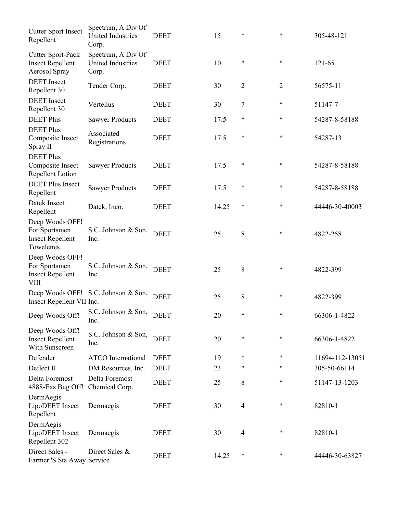| <b>Cutter Sport Insect</b><br>Repellent                                    | Spectrum, A Div Of<br><b>United Industries</b><br>Corp. | <b>DEET</b> | 15    | *              | *              | 305-48-121      |
|----------------------------------------------------------------------------|---------------------------------------------------------|-------------|-------|----------------|----------------|-----------------|
| <b>Cutter Sport-Pack</b><br><b>Insect Repellent</b><br>Aerosol Spray       | Spectrum, A Div Of<br>United Industries<br>Corp.        | <b>DEET</b> | 10    | $\ast$         | *              | 121-65          |
| <b>DEET</b> Insect<br>Repellent 30                                         | Tender Corp.                                            | <b>DEET</b> | 30    | $\overline{2}$ | $\overline{2}$ | 56575-11        |
| <b>DEET</b> Insect<br>Repellent 30                                         | Vertellus                                               | <b>DEET</b> | 30    | 7              | ∗              | 51147-7         |
| <b>DEET Plus</b>                                                           | <b>Sawyer Products</b>                                  | <b>DEET</b> | 17.5  | *              | *              | 54287-8-58188   |
| <b>DEET Plus</b><br>Composite Insect<br>Spray II                           | Associated<br>Registrations                             | <b>DEET</b> | 17.5  | $\ast$         | $\ast$         | 54287-13        |
| <b>DEET Plus</b><br>Composite Insect<br>Repellent Lotion                   | <b>Sawyer Products</b>                                  | <b>DEET</b> | 17.5  | $\ast$         | $\ast$         | 54287-8-58188   |
| <b>DEET Plus Insect</b><br>Repellent                                       | <b>Sawyer Products</b>                                  | <b>DEET</b> | 17.5  | $\ast$         | $\ast$         | 54287-8-58188   |
| Datek Insect<br>Repellent                                                  | Datek, Inco.                                            | <b>DEET</b> | 14.25 | $\ast$         | $\ast$         | 44446-30-40003  |
| Deep Woods OFF!<br>For Sportsmen<br><b>Insect Repellent</b><br>Towelettes  | S.C. Johnson & Son,<br>Inc.                             | <b>DEET</b> | 25    | 8              | $\ast$         | 4822-258        |
| Deep Woods OFF!<br>For Sportsmen<br><b>Insect Repellent</b><br><b>VIII</b> | S.C. Johnson & Son,<br>Inc.                             | <b>DEET</b> | 25    | 8              | $\ast$         | 4822-399        |
| Insect Repellent VII Inc.                                                  | Deep Woods OFF! S.C. Johnson & Son,                     | <b>DEET</b> | 25    | 8              | $\ast$         | 4822-399        |
| Deep Woods Off!                                                            | S.C. Johnson & Son, DEET<br>Inc.                        |             | 20    | *              | *              | 66306-1-4822    |
| Deep Woods Off!<br><b>Insect Repellent</b><br>With Sunscreen               | S.C. Johnson & Son,<br>Inc.                             | <b>DEET</b> | 20    | $\ast$         | $\ast$         | 66306-1-4822    |
| Defender                                                                   | <b>ATCO</b> International                               | <b>DEET</b> | 19    | *              | ∗              | 11694-112-13051 |
| Deflect II                                                                 | DM Resources, Inc.                                      | <b>DEET</b> | 23    | *              | *              | 305-50-66114    |
| Delta Foremost<br>4888-Exs Bug Off!                                        | Delta Foremost<br>Chemical Corp.                        | <b>DEET</b> | 25    | 8              | $\ast$         | 51147-13-1203   |
| DermAegis<br>LipoDEET Insect<br>Repellent                                  | Dermaegis                                               | <b>DEET</b> | 30    | $\overline{4}$ | $\ast$         | 82810-1         |
| DermAegis<br>LipoDEET Insect<br>Repellent 302                              | Dermaegis                                               | <b>DEET</b> | 30    | $\overline{4}$ | ∗              | 82810-1         |
| Direct Sales -<br>Farmer 'S Sta Away Service                               | Direct Sales &                                          | <b>DEET</b> | 14.25 | $\ast$         | *              | 44446-30-63827  |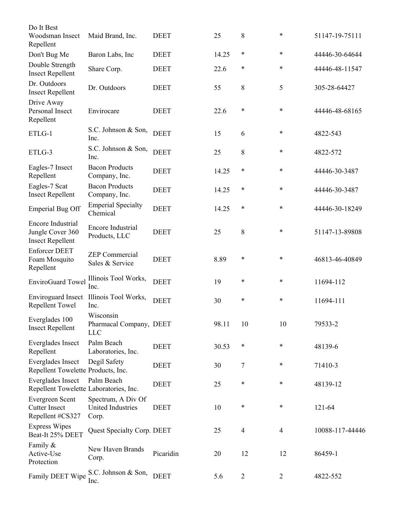| Do It Best<br>Woodsman Insect                                    | Maid Brand, Inc.                                        | <b>DEET</b> | 25    | 8              | $\ast$         | 51147-19-75111  |
|------------------------------------------------------------------|---------------------------------------------------------|-------------|-------|----------------|----------------|-----------------|
| Repellent                                                        |                                                         |             |       |                |                |                 |
| Don't Bug Me                                                     | Baron Labs, Inc.                                        | <b>DEET</b> | 14.25 | $\ast$         | *              | 44446-30-64644  |
| Double Strength<br><b>Insect Repellent</b>                       | Share Corp.                                             | <b>DEET</b> | 22.6  | *              | *              | 44446-48-11547  |
| Dr. Outdoors<br><b>Insect Repellent</b>                          | Dr. Outdoors                                            | <b>DEET</b> | 55    | 8              | 5              | 305-28-64427    |
| Drive Away<br>Personal Insect<br>Repellent                       | Envirocare                                              | <b>DEET</b> | 22.6  | $\ast$         | $\ast$         | 44446-48-68165  |
| ETLG-1                                                           | S.C. Johnson & Son,<br>Inc.                             | <b>DEET</b> | 15    | 6              | $\ast$         | 4822-543        |
| ETLG-3                                                           | S.C. Johnson & Son,<br>Inc.                             | <b>DEET</b> | 25    | 8              | *              | 4822-572        |
| Eagles-7 Insect<br>Repellent                                     | <b>Bacon Products</b><br>Company, Inc.                  | <b>DEET</b> | 14.25 | $\ast$         | *              | 44446-30-3487   |
| Eagles-7 Scat<br><b>Insect Repellent</b>                         | <b>Bacon Products</b><br>Company, Inc.                  | <b>DEET</b> | 14.25 | $\ast$         | $\ast$         | 44446-30-3487   |
| <b>Emperial Bug Off</b>                                          | <b>Emperial Specialty</b><br>Chemical                   | <b>DEET</b> | 14.25 | $\ast$         | *              | 44446-30-18249  |
| Encore Industrial<br>Jungle Cover 360<br><b>Insect Repellent</b> | <b>Encore Industrial</b><br>Products, LLC               | <b>DEET</b> | 25    | 8              | $\ast$         | 51147-13-89808  |
| <b>Enforcer DEET</b><br>Foam Mosquito<br>Repellent               | <b>ZEP</b> Commercial<br>Sales & Service                | <b>DEET</b> | 8.89  | ∗              | $\ast$         | 46813-46-40849  |
| EnviroGuard Towel                                                | Illinois Tool Works,<br>Inc.                            | <b>DEET</b> | 19    | ∗              | $\ast$         | 11694-112       |
| <b>Enviroguard Insect</b><br>Repellent Towel                     | Illinois Tool Works,<br>Inc.                            | <b>DEET</b> | 30    | ∗              | $\ast$         | 11694-111       |
| Everglades 100<br><b>Insect Repellent</b>                        | Wisconsin<br>Pharmacal Company, DEET<br><b>LLC</b>      |             | 98.11 | 10             | 10             | 79533-2         |
| Everglades Insect<br>Repellent                                   | Palm Beach<br>Laboratories, Inc.                        | <b>DEET</b> | 30.53 | $\ast$         | *              | 48139-6         |
| Everglades Insect<br>Repellent Towelette Products, Inc.          | Degil Safety                                            | <b>DEET</b> | 30    | 7              | *              | 71410-3         |
| Everglades Insect<br>Repellent Towelette Laboratories, Inc.      | Palm Beach                                              | <b>DEET</b> | 25    | $\ast$         | *              | 48139-12        |
| Evergreen Scent<br><b>Cutter Insect</b><br>Repellent #CS327      | Spectrum, A Div Of<br><b>United Industries</b><br>Corp. | <b>DEET</b> | 10    | $\ast$         | *              | 121-64          |
| <b>Express Wipes</b><br>Beat-It 25% DEET                         | Quest Specialty Corp. DEET                              |             | 25    | $\overline{4}$ | $\overline{4}$ | 10088-117-44446 |
| Family &<br>Active-Use<br>Protection                             | New Haven Brands<br>Corp.                               | Picaridin   | 20    | 12             | 12             | 86459-1         |
| Family DEET Wipe                                                 | S.C. Johnson & Son,<br>Inc.                             | <b>DEET</b> | 5.6   | $\overline{2}$ | $\overline{2}$ | 4822-552        |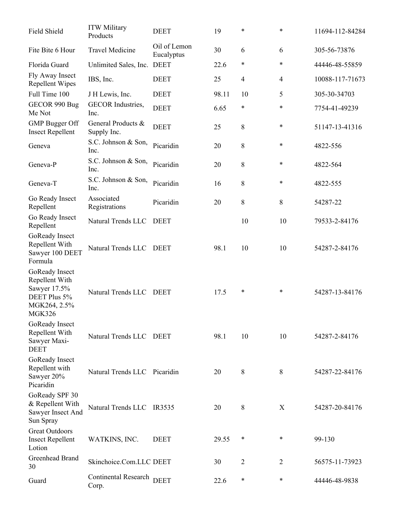| Field Shield                                                                               | <b>ITW Military</b><br>Products      | <b>DEET</b>                | 19    | *              | *              | 11694-112-84284 |
|--------------------------------------------------------------------------------------------|--------------------------------------|----------------------------|-------|----------------|----------------|-----------------|
| Fite Bite 6 Hour                                                                           | <b>Travel Medicine</b>               | Oil of Lemon<br>Eucalyptus | 30    | 6              | 6              | 305-56-73876    |
| Florida Guard                                                                              | Unlimited Sales, Inc.                | <b>DEET</b>                | 22.6  | $\ast$         | $\ast$         | 44446-48-55859  |
| Fly Away Insect<br>Repellent Wipes                                                         | IBS, Inc.                            | <b>DEET</b>                | 25    | $\overline{4}$ | $\overline{4}$ | 10088-117-71673 |
| Full Time 100                                                                              | J H Lewis, Inc.                      | <b>DEET</b>                | 98.11 | 10             | 5              | 305-30-34703    |
| GECOR 990 Bug<br>Me Not                                                                    | <b>GECOR</b> Industries,<br>Inc.     | <b>DEET</b>                | 6.65  | $\ast$         | $\ast$         | 7754-41-49239   |
| <b>GMP</b> Bugger Off<br><b>Insect Repellent</b>                                           | General Products &<br>Supply Inc.    | <b>DEET</b>                | 25    | 8              | $\ast$         | 51147-13-41316  |
| Geneva                                                                                     | S.C. Johnson & Son,<br>Inc.          | Picaridin                  | 20    | 8              | $\ast$         | 4822-556        |
| Geneva-P                                                                                   | S.C. Johnson & Son,<br>Inc.          | Picaridin                  | 20    | 8              | $\ast$         | 4822-564        |
| Geneva-T                                                                                   | S.C. Johnson & Son,<br>Inc.          | Picaridin                  | 16    | 8              | $\ast$         | 4822-555        |
| Go Ready Insect<br>Repellent                                                               | Associated<br>Registrations          | Picaridin                  | 20    | 8              | 8              | 54287-22        |
| Go Ready Insect<br>Repellent                                                               | Natural Trends LLC                   | <b>DEET</b>                |       | 10             | 10             | 79533-2-84176   |
| GoReady Insect<br>Repellent With<br>Sawyer 100 DEET<br>Formula                             | Natural Trends LLC                   | <b>DEET</b>                | 98.1  | 10             | 10             | 54287-2-84176   |
| GoReady Insect<br>Repellent With<br>Sawyer 17.5%<br>DEET Plus 5%<br>MGK264, 2.5%<br>MGK326 | Natural Trends LLC                   | DEET                       | 17.5  | $\ast$         | *              | 54287-13-84176  |
| GoReady Insect<br>Repellent With<br>Sawyer Maxi-<br><b>DEET</b>                            | Natural Trends LLC DEET              |                            | 98.1  | 10             | 10             | 54287-2-84176   |
| GoReady Insect<br>Repellent with<br>Sawyer 20%<br>Picaridin                                | Natural Trends LLC Picaridin         |                            | 20    | 8              | 8              | 54287-22-84176  |
| GoReady SPF 30<br>& Repellent With<br>Sawyer Insect And<br>Sun Spray                       | Natural Trends LLC IR3535            |                            | 20    | 8              | X              | 54287-20-84176  |
| <b>Great Outdoors</b><br><b>Insect Repellent</b><br>Lotion                                 | WATKINS, INC.                        | <b>DEET</b>                | 29.55 | *              | ∗              | 99-130          |
| Greenhead Brand<br>30                                                                      | Skinchoice.Com.LLC DEET              |                            | 30    | 2              | 2              | 56575-11-73923  |
| Guard                                                                                      | <b>Continental Research</b><br>Corp. | <b>DEET</b>                | 22.6  | $\ast$         | ∗              | 44446-48-9838   |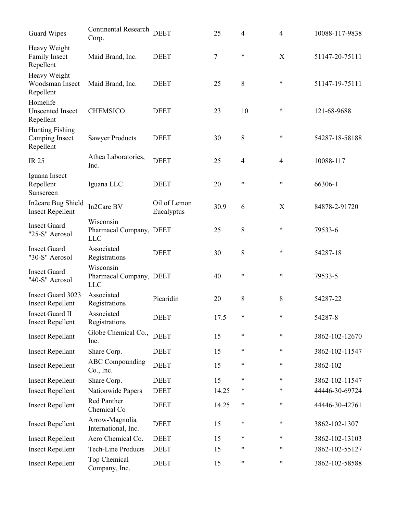| <b>Guard Wipes</b>                                    | Continental Research<br>Corp.                      | <b>DEET</b>                | 25    | 4              | $\overline{4}$ | 10088-117-9838 |
|-------------------------------------------------------|----------------------------------------------------|----------------------------|-------|----------------|----------------|----------------|
| Heavy Weight<br>Family Insect<br>Repellent            | Maid Brand, Inc.                                   | <b>DEET</b>                | 7     | $\ast$         | $\mathbf X$    | 51147-20-75111 |
| Heavy Weight<br>Woodsman Insect<br>Repellent          | Maid Brand, Inc.                                   | <b>DEET</b>                | 25    | $8\,$          | $\ast$         | 51147-19-75111 |
| Homelife<br><b>Unscented Insect</b><br>Repellent      | <b>CHEMSICO</b>                                    | <b>DEET</b>                | 23    | 10             | $\ast$         | 121-68-9688    |
| <b>Hunting Fishing</b><br>Camping Insect<br>Repellent | <b>Sawyer Products</b>                             | <b>DEET</b>                | 30    | $8\,$          | $\ast$         | 54287-18-58188 |
| <b>IR 25</b>                                          | Athea Laboratories,<br>Inc.                        | <b>DEET</b>                | 25    | $\overline{4}$ | $\overline{4}$ | 10088-117      |
| Iguana Insect<br>Repellent<br>Sunscreen               | Iguana LLC                                         | <b>DEET</b>                | 20    | ∗              | *              | 66306-1        |
| In2care Bug Shield<br><b>Insect Repellent</b>         | In2Care BV                                         | Oil of Lemon<br>Eucalyptus | 30.9  | 6              | X              | 84878-2-91720  |
| <b>Insect Guard</b><br>"25-S" Aerosol                 | Wisconsin<br>Pharmacal Company, DEET<br><b>LLC</b> |                            | 25    | 8              | $\ast$         | 79533-6        |
| <b>Insect Guard</b><br>"30-S" Aerosol                 | Associated<br>Registrations                        | <b>DEET</b>                | 30    | $8\,$          | $\ast$         | 54287-18       |
| <b>Insect Guard</b><br>"40-S" Aerosol                 | Wisconsin<br>Pharmacal Company, DEET<br><b>LLC</b> |                            | 40    | $\ast$         | $\ast$         | 79533-5        |
| Insect Guard 3023<br><b>Insect Repellent</b>          | Associated<br>Registrations                        | Picaridin                  | 20    | 8              | 8              | 54287-22       |
| <b>Insect Guard II</b><br><b>Insect Repellent</b>     | Associated<br>Registrations                        | <b>DEET</b>                | 17.5  | $\ast$         | $\ast$         | 54287-8        |
| <b>Insect Repellant</b>                               | Globe Chemical Co.,<br>Inc.                        | <b>DEET</b>                | 15    | $\ast$         | $\ast$         | 3862-102-12670 |
| <b>Insect Repellant</b>                               | Share Corp.                                        | <b>DEET</b>                | 15    | ∗              | $\ast$         | 3862-102-11547 |
| <b>Insect Repellent</b>                               | <b>ABC</b> Compounding<br>Co., Inc.                | <b>DEET</b>                | 15    | $\ast$         | $\ast$         | 3862-102       |
| <b>Insect Repellent</b>                               | Share Corp.                                        | <b>DEET</b>                | 15    | $\ast$         | $\ast$         | 3862-102-11547 |
| <b>Insect Repellent</b>                               | Nationwide Papers                                  | <b>DEET</b>                | 14.25 | $\ast$         | $\ast$         | 44446-30-69724 |
| <b>Insect Repellent</b>                               | Red Panther<br>Chemical Co                         | <b>DEET</b>                | 14.25 | $\ast$         | *              | 44446-30-42761 |
| <b>Insect Repellent</b>                               | Arrow-Magnolia<br>International, Inc.              | <b>DEET</b>                | 15    | $\ast$         | $\ast$         | 3862-102-1307  |
| <b>Insect Repellent</b>                               | Aero Chemical Co.                                  | <b>DEET</b>                | 15    | $\ast$         | $\ast$         | 3862-102-13103 |
| <b>Insect Repellent</b>                               | <b>Tech-Line Products</b>                          | <b>DEET</b>                | 15    | $\ast$         | $\ast$         | 3862-102-55127 |
| <b>Insect Repellent</b>                               | Top Chemical<br>Company, Inc.                      | <b>DEET</b>                | 15    | $\ast$         | $\ast$         | 3862-102-58588 |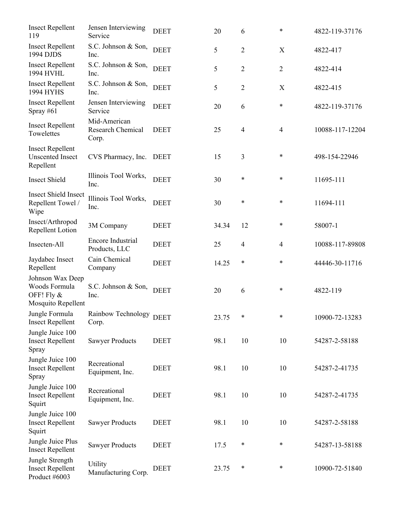| <b>Insect Repellent</b><br>119                                        | Jensen Interviewing<br>Service             | <b>DEET</b> | 20    | 6              | *              | 4822-119-37176  |
|-----------------------------------------------------------------------|--------------------------------------------|-------------|-------|----------------|----------------|-----------------|
| <b>Insect Repellent</b><br>1994 DJDS                                  | S.C. Johnson & Son,<br>Inc.                | <b>DEET</b> | 5     | $\overline{2}$ | X              | 4822-417        |
| <b>Insect Repellent</b><br><b>1994 HVHL</b>                           | S.C. Johnson & Son,<br>Inc.                | <b>DEET</b> | 5     | $\overline{2}$ | $\overline{2}$ | 4822-414        |
| <b>Insect Repellent</b><br><b>1994 HYHS</b>                           | S.C. Johnson & Son,<br>Inc.                | <b>DEET</b> | 5     | $\overline{2}$ | X              | 4822-415        |
| <b>Insect Repellent</b><br>Spray $#61$                                | Jensen Interviewing<br>Service             | <b>DEET</b> | 20    | 6              | *              | 4822-119-37176  |
| <b>Insect Repellent</b><br>Towelettes                                 | Mid-American<br>Research Chemical<br>Corp. | <b>DEET</b> | 25    | $\overline{4}$ | $\overline{4}$ | 10088-117-12204 |
| <b>Insect Repellent</b><br><b>Unscented Insect</b><br>Repellent       | CVS Pharmacy, Inc.                         | <b>DEET</b> | 15    | 3              | *              | 498-154-22946   |
| <b>Insect Shield</b>                                                  | Illinois Tool Works,<br>Inc.               | <b>DEET</b> | 30    | $\ast$         | $\ast$         | 11695-111       |
| <b>Insect Shield Insect</b><br>Repellent Towel /<br>Wipe              | Illinois Tool Works,<br>Inc.               | <b>DEET</b> | 30    | $\ast$         | $\ast$         | 11694-111       |
| Insect/Arthropod<br>Repellent Lotion                                  | 3M Company                                 | <b>DEET</b> | 34.34 | 12             | *              | 58007-1         |
| Insecten-All                                                          | Encore Industrial<br>Products, LLC         | <b>DEET</b> | 25    | $\overline{4}$ | $\overline{4}$ | 10088-117-89808 |
| Jaydabec Insect<br>Repellent                                          | Cain Chemical<br>Company                   | <b>DEET</b> | 14.25 | $\ast$         | $\ast$         | 44446-30-11716  |
| Johnson Wax Deep<br>Woods Formula<br>OFF! Fly &<br>Mosquito Repellent | S.C. Johnson & Son,<br>Inc.                | <b>DEET</b> | 20    | 6              | *              | 4822-119        |
| Jungle Formula<br><b>Insect Repellent</b>                             | Rainbow Technology<br>Corp.                | <b>DEET</b> | 23.75 | $\ast$         | $\ast$         | 10900-72-13283  |
| Jungle Juice 100<br><b>Insect Repellent</b><br>Spray                  | <b>Sawyer Products</b>                     | <b>DEET</b> | 98.1  | 10             | 10             | 54287-2-58188   |
| Jungle Juice 100<br><b>Insect Repellent</b><br>Spray                  | Recreational<br>Equipment, Inc.            | <b>DEET</b> | 98.1  | 10             | 10             | 54287-2-41735   |
| Jungle Juice 100<br><b>Insect Repellent</b><br>Squirt                 | Recreational<br>Equipment, Inc.            | <b>DEET</b> | 98.1  | 10             | 10             | 54287-2-41735   |
| Jungle Juice 100<br><b>Insect Repellent</b><br>Squirt                 | <b>Sawyer Products</b>                     | <b>DEET</b> | 98.1  | 10             | 10             | 54287-2-58188   |
| Jungle Juice Plus<br><b>Insect Repellent</b>                          | <b>Sawyer Products</b>                     | <b>DEET</b> | 17.5  | *              | *              | 54287-13-58188  |
| Jungle Strength<br><b>Insect Repellent</b><br>Product #6003           | Utility<br>Manufacturing Corp.             | <b>DEET</b> | 23.75 | $\ast$         | *              | 10900-72-51840  |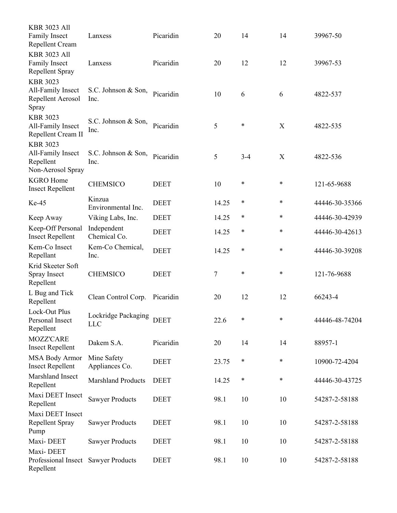| <b>KBR 3023 All</b><br><b>Family Insect</b><br>Repellent Cream         | Lanxess                           | Picaridin   | 20    | 14      | 14     | 39967-50       |
|------------------------------------------------------------------------|-----------------------------------|-------------|-------|---------|--------|----------------|
| <b>KBR 3023 All</b><br>Family Insect<br>Repellent Spray                | Lanxess                           | Picaridin   | 20    | 12      | 12     | 39967-53       |
| <b>KBR 3023</b><br>All-Family Insect<br>Repellent Aerosol<br>Spray     | S.C. Johnson & Son,<br>Inc.       | Picaridin   | 10    | 6       | 6      | 4822-537       |
| <b>KBR 3023</b><br>All-Family Insect<br>Repellent Cream II             | S.C. Johnson & Son,<br>Inc.       | Picaridin   | 5     | $\ast$  | X      | 4822-535       |
| <b>KBR 3023</b><br>All-Family Insect<br>Repellent<br>Non-Aerosol Spray | S.C. Johnson & Son,<br>Inc.       | Picaridin   | 5     | $3 - 4$ | X      | 4822-536       |
| <b>KGRO Home</b><br><b>Insect Repellent</b>                            | <b>CHEMSICO</b>                   | <b>DEET</b> | 10    | $\ast$  | *      | 121-65-9688    |
| Ke-45                                                                  | Kinzua<br>Environmental Inc.      | <b>DEET</b> | 14.25 | $\ast$  | $\ast$ | 44446-30-35366 |
| Keep Away                                                              | Viking Labs, Inc.                 | <b>DEET</b> | 14.25 | ∗       | *      | 44446-30-42939 |
| Keep-Off Personal<br><b>Insect Repellent</b>                           | Independent<br>Chemical Co.       | <b>DEET</b> | 14.25 | $\ast$  | *      | 44446-30-42613 |
| Kem-Co Insect<br>Repellant                                             | Kem-Co Chemical,<br>Inc.          | <b>DEET</b> | 14.25 | ∗       | *      | 44446-30-39208 |
| Krid Skeeter Soft<br>Spray Insect<br>Repellent                         | <b>CHEMSICO</b>                   | <b>DEET</b> | 7     | $\ast$  | *      | 121-76-9688    |
| L Bug and Tick<br>Repellent                                            | Clean Control Corp.               | Picaridin   | 20    | 12      | 12     | 66243-4        |
| Lock-Out Plus<br>Personal Insect<br>Repellent                          | Lockridge Packaging<br><b>LLC</b> | <b>DEET</b> | 22.6  | $\ast$  | $\ast$ | 44446-48-74204 |
| <b>MOZZ'CARE</b><br><b>Insect Repellent</b>                            | Dakem S.A.                        | Picaridin   | 20    | 14      | 14     | 88957-1        |
| <b>MSA Body Armor</b><br><b>Insect Repellent</b>                       | Mine Safety<br>Appliances Co.     | <b>DEET</b> | 23.75 | $\ast$  | *      | 10900-72-4204  |
| Marshland Insect<br>Repellent                                          | <b>Marshland Products</b>         | <b>DEET</b> | 14.25 | $\ast$  | *      | 44446-30-43725 |
| Maxi DEET Insect<br>Repellent                                          | <b>Sawyer Products</b>            | <b>DEET</b> | 98.1  | 10      | 10     | 54287-2-58188  |
| Maxi DEET Insect<br>Repellent Spray<br>Pump                            | <b>Sawyer Products</b>            | <b>DEET</b> | 98.1  | 10      | 10     | 54287-2-58188  |
| Maxi-DEET                                                              | <b>Sawyer Products</b>            | <b>DEET</b> | 98.1  | 10      | 10     | 54287-2-58188  |
| Maxi-DEET<br>Professional Insect<br>Repellent                          | <b>Sawyer Products</b>            | <b>DEET</b> | 98.1  | 10      | 10     | 54287-2-58188  |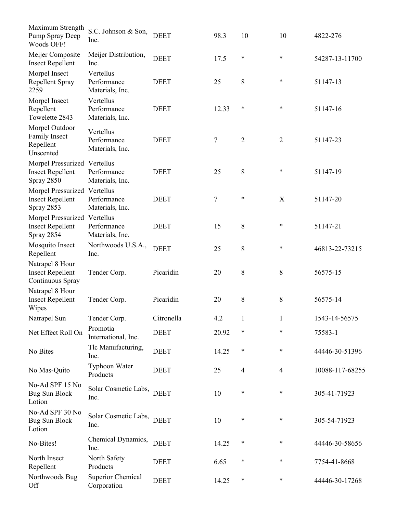| Maximum Strength<br>Pump Spray Deep<br>Woods OFF!                     | S.C. Johnson & Son,<br>Inc.                 | <b>DEET</b> | 98.3  | 10             | 10                        | 4822-276        |
|-----------------------------------------------------------------------|---------------------------------------------|-------------|-------|----------------|---------------------------|-----------------|
| Meijer Composite<br><b>Insect Repellent</b>                           | Meijer Distribution,<br>Inc.                | <b>DEET</b> | 17.5  | $\ast$         | $\ast$                    | 54287-13-11700  |
| Morpel Insect<br>Repellent Spray<br>2259                              | Vertellus<br>Performance<br>Materials, Inc. | <b>DEET</b> | 25    | 8              | *                         | 51147-13        |
| Morpel Insect<br>Repellent<br>Towelette 2843                          | Vertellus<br>Performance<br>Materials, Inc. | <b>DEET</b> | 12.33 | ∗              | $\ast$                    | 51147-16        |
| Morpel Outdoor<br>Family Insect<br>Repellent<br>Unscented             | Vertellus<br>Performance<br>Materials, Inc. | <b>DEET</b> | 7     | $\overline{2}$ | $\overline{2}$            | 51147-23        |
| Morpel Pressurized Vertellus<br><b>Insect Repellent</b><br>Spray 2850 | Performance<br>Materials, Inc.              | <b>DEET</b> | 25    | 8              | *                         | 51147-19        |
| Morpel Pressurized Vertellus<br><b>Insect Repellent</b><br>Spray 2853 | Performance<br>Materials, Inc.              | <b>DEET</b> | 7     | $\ast$         | $\boldsymbol{\mathrm{X}}$ | 51147-20        |
| Morpel Pressurized Vertellus<br><b>Insect Repellent</b><br>Spray 2854 | Performance<br>Materials, Inc.              | <b>DEET</b> | 15    | 8              | *                         | 51147-21        |
| Mosquito Insect<br>Repellent                                          | Northwoods U.S.A.,<br>Inc.                  | <b>DEET</b> | 25    | 8              | *                         | 46813-22-73215  |
| Natrapel 8 Hour<br><b>Insect Repellent</b><br>Continuous Spray        | Tender Corp.                                | Picaridin   | 20    | 8              | $\,8\,$                   | 56575-15        |
| Natrapel 8 Hour<br><b>Insect Repellent</b><br>Wipes                   | Tender Corp.                                | Picaridin   | 20    | 8              | $\,8\,$                   | 56575-14        |
| Natrapel Sun                                                          | Tender Corp.                                | Citronella  | 4.2   | 1              | $\mathbf{1}$              | 1543-14-56575   |
| Net Effect Roll On                                                    | Promotia<br>International, Inc.             | <b>DEET</b> | 20.92 | $\ast$         | *                         | 75583-1         |
| No Bites                                                              | Tlc Manufacturing,<br>Inc.                  | <b>DEET</b> | 14.25 | ∗              | *                         | 44446-30-51396  |
| No Mas-Quito                                                          | Typhoon Water<br>Products                   | <b>DEET</b> | 25    | $\overline{4}$ | $\overline{4}$            | 10088-117-68255 |
| No-Ad SPF 15 No<br><b>Bug Sun Block</b><br>Lotion                     | Solar Cosmetic Labs, DEET<br>Inc.           |             | 10    | ∗              | *                         | 305-41-71923    |
| No-Ad SPF 30 No<br><b>Bug Sun Block</b><br>Lotion                     | Solar Cosmetic Labs,<br>Inc.                | <b>DEET</b> | 10    | ∗              | *                         | 305-54-71923    |
| No-Bites!                                                             | Chemical Dynamics,<br>Inc.                  | <b>DEET</b> | 14.25 | $\ast$         | *                         | 44446-30-58656  |
| North Insect<br>Repellent                                             | North Safety<br>Products                    | <b>DEET</b> | 6.65  | *              | *                         | 7754-41-8668    |
| Northwoods Bug<br>Off                                                 | <b>Superior Chemical</b><br>Corporation     | <b>DEET</b> | 14.25 | $\ast$         | *                         | 44446-30-17268  |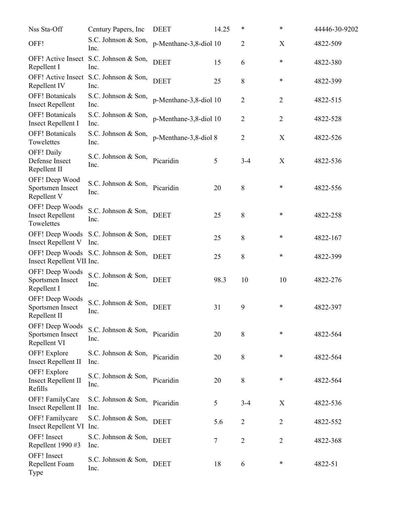| Nss Sta-Off                                              | Century Papers, Inc.                           | <b>DEET</b>            | 14.25 | $\ast$         | $\ast$         | 44446-30-9202 |
|----------------------------------------------------------|------------------------------------------------|------------------------|-------|----------------|----------------|---------------|
| OFF!                                                     | S.C. Johnson & Son,<br>Inc.                    | p-Menthane-3,8-diol 10 |       | 2              | X              | 4822-509      |
| Repellent I                                              | OFF! Active Insect S.C. Johnson & Son,<br>Inc. | <b>DEET</b>            | 15    | 6              | $\ast$         | 4822-380      |
| Repellent IV                                             | OFF! Active Insect S.C. Johnson & Son,<br>Inc. | <b>DEET</b>            | 25    | 8              | $\ast$         | 4822-399      |
| <b>OFF!</b> Botanicals<br><b>Insect Repellent</b>        | S.C. Johnson & Son,<br>Inc.                    | p-Menthane-3,8-diol 10 |       | 2              | $\overline{2}$ | 4822-515      |
| <b>OFF!</b> Botanicals<br><b>Insect Repellent I</b>      | S.C. Johnson & Son,<br>Inc.                    | p-Menthane-3,8-diol 10 |       | $\overline{2}$ | $\overline{2}$ | 4822-528      |
| <b>OFF!</b> Botanicals<br>Towelettes                     | S.C. Johnson & Son,<br>Inc.                    | p-Menthane-3,8-diol 8  |       | 2              | X              | 4822-526      |
| OFF! Daily<br>Defense Insect<br>Repellent II             | S.C. Johnson & Son,<br>Inc.                    | Picaridin              | 5     | $3 - 4$        | X              | 4822-536      |
| OFF! Deep Wood<br>Sportsmen Insect<br>Repellent V        | S.C. Johnson & Son,<br>Inc.                    | Picaridin              | 20    | 8              | $\ast$         | 4822-556      |
| OFF! Deep Woods<br><b>Insect Repellent</b><br>Towelettes | S.C. Johnson & Son,<br>Inc.                    | <b>DEET</b>            | 25    | 8              | $\ast$         | 4822-258      |
| <b>Insect Repellent V</b>                                | OFF! Deep Woods S.C. Johnson & Son,<br>Inc.    | <b>DEET</b>            | 25    | $8\,$          | $\ast$         | 4822-167      |
| Insect Repellent VII Inc.                                | OFF! Deep Woods S.C. Johnson & Son,            | <b>DEET</b>            | 25    | $8\,$          | $\ast$         | 4822-399      |
| OFF! Deep Woods<br>Sportsmen Insect<br>Repellent I       | S.C. Johnson & Son,<br>Inc.                    | <b>DEET</b>            | 98.3  | 10             | 10             | 4822-276      |
| OFF! Deep Woods<br>Sportsmen Insect<br>Repellent II      | S.C. Johnson & Son,<br>Inc.                    | <b>DEET</b>            | 31    | 9              | $\ast$         | 4822-397      |
| OFF! Deep Woods<br>Sportsmen Insect<br>Repellent VI      | S.C. Johnson & Son,<br>Inc.                    | Picaridin              | 20    | 8              | $\ast$         | 4822-564      |
| OFF! Explore<br><b>Insect Repellent II</b>               | S.C. Johnson & Son,<br>Inc.                    | Picaridin              | 20    | 8              | $\ast$         | 4822-564      |
| OFF! Explore<br><b>Insect Repellent II</b><br>Refills    | S.C. Johnson & Son,<br>Inc.                    | Picaridin              | 20    | 8              | $\ast$         | 4822-564      |
| OFF! FamilyCare<br><b>Insect Repellent II</b>            | S.C. Johnson & Son,<br>Inc.                    | Picaridin              | 5     | $3 - 4$        | X              | 4822-536      |
| OFF! Familycare<br>Insect Repellent VI Inc.              | S.C. Johnson & Son,                            | <b>DEET</b>            | 5.6   | $\overline{2}$ | $\overline{2}$ | 4822-552      |
| OFF! Insect<br>Repellent 1990 #3                         | S.C. Johnson & Son,<br>Inc.                    | <b>DEET</b>            | 7     | $\overline{2}$ | $\overline{2}$ | 4822-368      |
| OFF! Insect<br>Repellent Foam<br>Type                    | S.C. Johnson & Son,<br>Inc.                    | <b>DEET</b>            | 18    | 6              | $\ast$         | 4822-51       |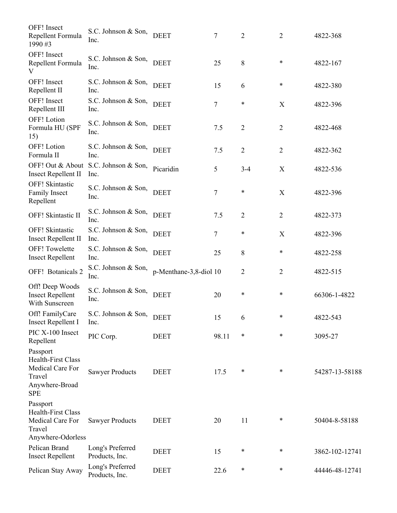| OFF! Insect<br>Repellent Formula<br>1990#3                                                   | S.C. Johnson & Son,<br>Inc.        | <b>DEET</b>            | 7              | $\overline{2}$ | $\overline{2}$ | 4822-368       |
|----------------------------------------------------------------------------------------------|------------------------------------|------------------------|----------------|----------------|----------------|----------------|
| OFF! Insect<br>Repellent Formula<br>V                                                        | S.C. Johnson & Son,<br>Inc.        | <b>DEET</b>            | 25             | 8              | *              | 4822-167       |
| OFF! Insect<br>Repellent II                                                                  | S.C. Johnson & Son, DEET<br>Inc.   |                        | 15             | 6              | *              | 4822-380       |
| OFF! Insect<br>Repellent III                                                                 | S.C. Johnson & Son,<br>Inc.        | <b>DEET</b>            | 7              | $\ast$         | X              | 4822-396       |
| <b>OFF!</b> Lotion<br>Formula HU (SPF<br>15)                                                 | S.C. Johnson & Son,<br>Inc.        | <b>DEET</b>            | 7.5            | $\overline{2}$ | $\overline{2}$ | 4822-468       |
| OFF! Lotion<br>Formula II                                                                    | S.C. Johnson & Son,<br>Inc.        | <b>DEET</b>            | 7.5            | $\overline{2}$ | $\overline{2}$ | 4822-362       |
| OFF! Out & About<br><b>Insect Repellent II</b>                                               | S.C. Johnson & Son,<br>Inc.        | Picaridin              | 5              | $3 - 4$        | X              | 4822-536       |
| <b>OFF!</b> Skintastic<br>Family Insect<br>Repellent                                         | S.C. Johnson & Son,<br>Inc.        | <b>DEET</b>            | $\overline{7}$ | $\ast$         | X              | 4822-396       |
| OFF! Skintastic II                                                                           | S.C. Johnson & Son,<br>Inc.        | <b>DEET</b>            | 7.5            | $\overline{2}$ | $\overline{2}$ | 4822-373       |
| <b>OFF!</b> Skintastic<br><b>Insect Repellent II</b>                                         | S.C. Johnson & Son,<br>Inc.        | <b>DEET</b>            | 7              | $\ast$         | X              | 4822-396       |
| <b>OFF!</b> Towelette<br><b>Insect Repellent</b>                                             | S.C. Johnson & Son,<br>Inc.        | <b>DEET</b>            | 25             | 8              | *              | 4822-258       |
| OFF! Botanicals 2                                                                            | S.C. Johnson & Son,<br>Inc.        | p-Menthane-3,8-diol 10 |                | 2              | $\overline{2}$ | 4822-515       |
| Off! Deep Woods<br><b>Insect Repellent</b><br>With Sunscreen                                 | S.C. Johnson & Son,<br>Inc.        | <b>DEET</b>            | 20             | $\ast$         | *              | 66306-1-4822   |
| Off! FamilyCare<br><b>Insect Repellent I</b>                                                 | S.C. Johnson & Son, DEET<br>Inc.   |                        | 15             | 6              | *              | 4822-543       |
| PIC X-100 Insect<br>Repellent                                                                | PIC Corp.                          | <b>DEET</b>            | 98.11          | ∗              | *              | 3095-27        |
| Passport<br>Health-First Class<br>Medical Care For<br>Travel<br>Anywhere-Broad<br><b>SPE</b> | <b>Sawyer Products</b>             | <b>DEET</b>            | 17.5           | $\ast$         | $\ast$         | 54287-13-58188 |
| Passport<br><b>Health-First Class</b><br>Medical Care For<br>Travel<br>Anywhere-Odorless     | <b>Sawyer Products</b>             | <b>DEET</b>            | 20             | 11             | *              | 50404-8-58188  |
| Pelican Brand<br><b>Insect Repellent</b>                                                     | Long's Preferred<br>Products, Inc. | <b>DEET</b>            | 15             | $\ast$         | *              | 3862-102-12741 |
| Pelican Stay Away                                                                            | Long's Preferred<br>Products, Inc. | <b>DEET</b>            | 22.6           | $\ast$         | ∗              | 44446-48-12741 |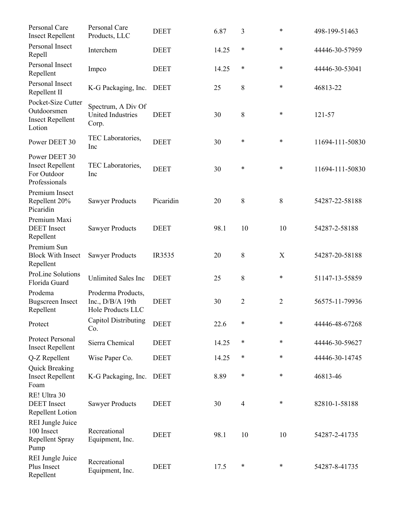| Personal Care<br><b>Insect Repellent</b>                                 | Personal Care<br>Products, LLC                                | <b>DEET</b> | 6.87  | 3              | $\ast$         | 498-199-51463   |
|--------------------------------------------------------------------------|---------------------------------------------------------------|-------------|-------|----------------|----------------|-----------------|
| Personal Insect<br>Repell                                                | Interchem                                                     | <b>DEET</b> | 14.25 | $\ast$         | $\ast$         | 44446-30-57959  |
| Personal Insect<br>Repellent                                             | Impco                                                         | <b>DEET</b> | 14.25 | $\ast$         | $\ast$         | 44446-30-53041  |
| Personal Insect<br>Repellent II                                          | K-G Packaging, Inc.                                           | <b>DEET</b> | 25    | 8              | $\ast$         | 46813-22        |
| Pocket-Size Cutter<br>Outdoorsmen<br><b>Insect Repellent</b><br>Lotion   | Spectrum, A Div Of<br><b>United Industries</b><br>Corp.       | <b>DEET</b> | 30    | 8              | $\ast$         | 121-57          |
| Power DEET 30                                                            | TEC Laboratories,<br>Inc                                      | <b>DEET</b> | 30    | ∗              | $\ast$         | 11694-111-50830 |
| Power DEET 30<br><b>Insect Repellent</b><br>For Outdoor<br>Professionals | TEC Laboratories,<br>Inc                                      | <b>DEET</b> | 30    | $\ast$         | $\ast$         | 11694-111-50830 |
| Premium Insect<br>Repellent 20%<br>Picaridin                             | <b>Sawyer Products</b>                                        | Picaridin   | 20    | 8              | 8              | 54287-22-58188  |
| Premium Maxi<br><b>DEET</b> Insect<br>Repellent                          | <b>Sawyer Products</b>                                        | <b>DEET</b> | 98.1  | 10             | 10             | 54287-2-58188   |
| Premium Sun<br><b>Block With Insect</b><br>Repellent                     | <b>Sawyer Products</b>                                        | IR3535      | 20    | 8              | X              | 54287-20-58188  |
| ProLine Solutions<br>Florida Guard                                       | <b>Unlimited Sales Inc</b>                                    | <b>DEET</b> | 25    | 8              | $\ast$         | 51147-13-55859  |
| Prodema<br><b>Bugscreen</b> Insect<br>Repellent                          | Proderma Products,<br>Inc., $D/B/A$ 19th<br>Hole Products LLC | <b>DEET</b> | 30    | $\overline{2}$ | $\overline{2}$ | 56575-11-79936  |
| Protect                                                                  | <b>Capitol Distributing</b><br>Co.                            | <b>DEET</b> | 22.6  | *              | $\ast$         | 44446-48-67268  |
| Protect Personal<br><b>Insect Repellent</b>                              | Sierra Chemical                                               | <b>DEET</b> | 14.25 | $\ast$         | $\ast$         | 44446-30-59627  |
| Q-Z Repellent                                                            | Wise Paper Co.                                                | <b>DEET</b> | 14.25 | ∗              | *              | 44446-30-14745  |
| Quick Breaking<br><b>Insect Repellent</b><br>Foam                        | K-G Packaging, Inc.                                           | <b>DEET</b> | 8.89  | $\ast$         | $\ast$         | 46813-46        |
| RE! Ultra 30<br><b>DEET</b> Insect<br>Repellent Lotion                   | <b>Sawyer Products</b>                                        | <b>DEET</b> | 30    | $\overline{4}$ | *              | 82810-1-58188   |
| REI Jungle Juice<br>100 Insect<br>Repellent Spray<br>Pump                | Recreational<br>Equipment, Inc.                               | <b>DEET</b> | 98.1  | 10             | 10             | 54287-2-41735   |
| <b>REI Jungle Juice</b><br>Plus Insect<br>Repellent                      | Recreational<br>Equipment, Inc.                               | <b>DEET</b> | 17.5  | $\ast$         | *              | 54287-8-41735   |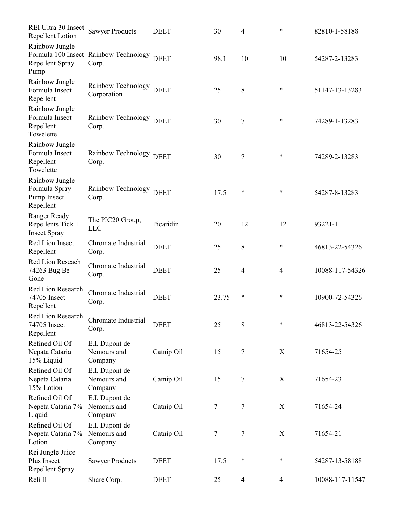| REI Ultra 30 Insect<br>Repellent Lotion                     | <b>Sawyer Products</b>                              | <b>DEET</b> | 30             | 4              | $\ast$         | 82810-1-58188   |
|-------------------------------------------------------------|-----------------------------------------------------|-------------|----------------|----------------|----------------|-----------------|
| Rainbow Jungle<br>Repellent Spray<br>Pump                   | Formula 100 Insect Rainbow Technology DEET<br>Corp. |             | 98.1           | 10             | 10             | 54287-2-13283   |
| Rainbow Jungle<br>Formula Insect<br>Repellent               | Rainbow Technology DEET<br>Corporation              |             | 25             | 8              | $\ast$         | 51147-13-13283  |
| Rainbow Jungle<br>Formula Insect<br>Repellent<br>Towelette  | Rainbow Technology DEET<br>Corp.                    |             | 30             | $\overline{7}$ | $\ast$         | 74289-1-13283   |
| Rainbow Jungle<br>Formula Insect<br>Repellent<br>Towelette  | Rainbow Technology DEET<br>Corp.                    |             | 30             | 7              | $\ast$         | 74289-2-13283   |
| Rainbow Jungle<br>Formula Spray<br>Pump Insect<br>Repellent | Rainbow Technology DEET<br>Corp.                    |             | 17.5           | *              | $\ast$         | 54287-8-13283   |
| Ranger Ready<br>Repellents Tick +<br><b>Insect Spray</b>    | The PIC20 Group,<br><b>LLC</b>                      | Picaridin   | 20             | 12             | 12             | 93221-1         |
| Red Lion Insect<br>Repellent                                | Chromate Industrial<br>Corp.                        | <b>DEET</b> | 25             | 8              | $\ast$         | 46813-22-54326  |
| Red Lion Reseach<br>74263 Bug Be<br>Gone                    | Chromate Industrial<br>Corp.                        | <b>DEET</b> | 25             | $\overline{4}$ | $\overline{4}$ | 10088-117-54326 |
| Red Lion Research<br>74705 Insect<br>Repellent              | Chromate Industrial<br>Corp.                        | <b>DEET</b> | 23.75          | *              | $\ast$         | 10900-72-54326  |
| Red Lion Research<br>74705 Insect<br>Repellent              | Chromate Industrial<br>Corp.                        | <b>DEET</b> | 25             | 8              | $\ast$         | 46813-22-54326  |
| Refined Oil Of<br>Nepata Cataria<br>15% Liquid              | E.I. Dupont de<br>Nemours and<br>Company            | Catnip Oil  | 15             | $\tau$         | X              | 71654-25        |
| Refined Oil Of<br>Nepeta Cataria<br>15% Lotion              | E.I. Dupont de<br>Nemours and<br>Company            | Catnip Oil  | 15             | 7              | X              | 71654-23        |
| Refined Oil Of<br>Nepeta Cataria 7%<br>Liquid               | E.I. Dupont de<br>Nemours and<br>Company            | Catnip Oil  | $\overline{7}$ | $\tau$         | X              | 71654-24        |
| Refined Oil Of<br>Nepeta Cataria 7%<br>Lotion               | E.I. Dupont de<br>Nemours and<br>Company            | Catnip Oil  | 7              | $\overline{7}$ | X              | 71654-21        |
| Rei Jungle Juice<br>Plus Insect<br>Repellent Spray          | <b>Sawyer Products</b>                              | <b>DEET</b> | 17.5           | $\ast$         | $\ast$         | 54287-13-58188  |
| Reli II                                                     | Share Corp.                                         | <b>DEET</b> | 25             | $\overline{4}$ | 4              | 10088-117-11547 |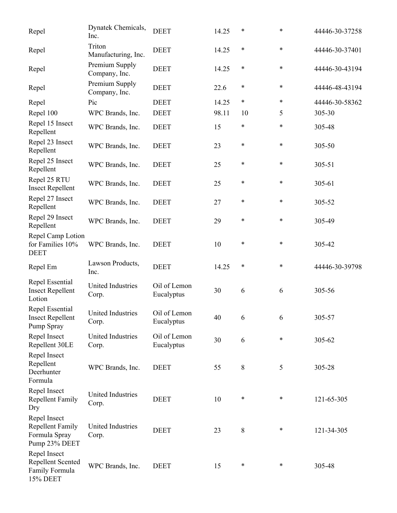| Repel                                                                     | Dynatek Chemicals,<br>Inc.        | <b>DEET</b>                | 14.25 | $\ast$ | $\ast$ | 44446-30-37258 |
|---------------------------------------------------------------------------|-----------------------------------|----------------------------|-------|--------|--------|----------------|
| Repel                                                                     | Triton<br>Manufacturing, Inc.     | <b>DEET</b>                | 14.25 | $\ast$ | $\ast$ | 44446-30-37401 |
| Repel                                                                     | Premium Supply<br>Company, Inc.   | <b>DEET</b>                | 14.25 | $\ast$ | $\ast$ | 44446-30-43194 |
| Repel                                                                     | Premium Supply<br>Company, Inc.   | <b>DEET</b>                | 22.6  | $\ast$ | *      | 44446-48-43194 |
| Repel                                                                     | Pic                               | <b>DEET</b>                | 14.25 | $\ast$ | *      | 44446-30-58362 |
| Repel 100                                                                 | WPC Brands, Inc.                  | <b>DEET</b>                | 98.11 | 10     | 5      | 305-30         |
| Repel 15 Insect<br>Repellent                                              | WPC Brands, Inc.                  | <b>DEET</b>                | 15    | $\ast$ | *      | 305-48         |
| Repel 23 Insect<br>Repellent                                              | WPC Brands, Inc.                  | <b>DEET</b>                | 23    | $\ast$ | $\ast$ | 305-50         |
| Repel 25 Insect<br>Repellent                                              | WPC Brands, Inc.                  | <b>DEET</b>                | 25    | $\ast$ | *      | $305 - 51$     |
| Repel 25 RTU<br><b>Insect Repellent</b>                                   | WPC Brands, Inc.                  | <b>DEET</b>                | 25    | $\ast$ | $\ast$ | 305-61         |
| Repel 27 Insect<br>Repellent                                              | WPC Brands, Inc.                  | <b>DEET</b>                | 27    | $\ast$ | $\ast$ | 305-52         |
| Repel 29 Insect<br>Repellent                                              | WPC Brands, Inc.                  | <b>DEET</b>                | 29    | $\ast$ | $\ast$ | 305-49         |
| Repel Camp Lotion<br>for Families 10%<br><b>DEET</b>                      | WPC Brands, Inc.                  | <b>DEET</b>                | 10    | $\ast$ | $\ast$ | 305-42         |
| Repel Em                                                                  | Lawson Products,<br>Inc.          | <b>DEET</b>                | 14.25 | $\ast$ | $\ast$ | 44446-30-39798 |
| Repel Essential<br><b>Insect Repellent</b><br>Lotion                      | United Industries<br>Corp.        | Oil of Lemon<br>Eucalyptus | 30    | 6      | 6      | 305-56         |
| Repel Essential<br><b>Insect Repellent</b><br>Pump Spray                  | United Industries<br>Corp.        | Oil of Lemon<br>Eucalyptus | 40    | 6      | 6      | 305-57         |
| Repel Insect<br>Repellent 30LE                                            | United Industries<br>Corp.        | Oil of Lemon<br>Eucalyptus | 30    | 6      | *      | 305-62         |
| Repel Insect<br>Repellent<br>Deerhunter<br>Formula                        | WPC Brands, Inc.                  | <b>DEET</b>                | 55    | $8\,$  | 5      | 305-28         |
| Repel Insect<br><b>Repellent Family</b><br>Dry                            | <b>United Industries</b><br>Corp. | <b>DEET</b>                | 10    | $\ast$ | $\ast$ | 121-65-305     |
| Repel Insect<br><b>Repellent Family</b><br>Formula Spray<br>Pump 23% DEET | United Industries<br>Corp.        | <b>DEET</b>                | 23    | $8\,$  | $\ast$ | 121-34-305     |
| Repel Insect<br><b>Repellent Scented</b><br>Family Formula<br>15% DEET    | WPC Brands, Inc.                  | <b>DEET</b>                | 15    | $\ast$ | *      | 305-48         |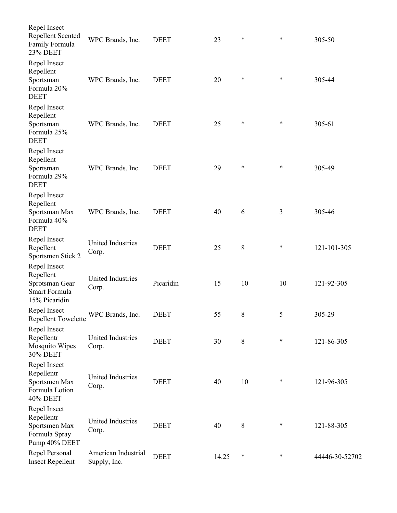| Repel Insect<br>Repellent Scented<br>Family Formula<br><b>23% DEET</b>           | WPC Brands, Inc.                    | <b>DEET</b> | 23    | $\ast$  | *      | 305-50         |
|----------------------------------------------------------------------------------|-------------------------------------|-------------|-------|---------|--------|----------------|
| Repel Insect<br>Repellent<br>Sportsman<br>Formula 20%<br><b>DEET</b>             | WPC Brands, Inc.                    | <b>DEET</b> | 20    | $\ast$  | *      | 305-44         |
| Repel Insect<br>Repellent<br>Sportsman<br>Formula 25%<br><b>DEET</b>             | WPC Brands, Inc.                    | <b>DEET</b> | 25    | $\ast$  | *      | 305-61         |
| Repel Insect<br>Repellent<br>Sportsman<br>Formula 29%<br><b>DEET</b>             | WPC Brands, Inc.                    | <b>DEET</b> | 29    | $\ast$  | $\ast$ | 305-49         |
| Repel Insect<br>Repellent<br>Sportsman Max<br>Formula 40%<br><b>DEET</b>         | WPC Brands, Inc.                    | <b>DEET</b> | 40    | 6       | 3      | 305-46         |
| Repel Insect<br>Repellent<br>Sportsmen Stick 2                                   | United Industries<br>Corp.          | <b>DEET</b> | 25    | $\,8\,$ | ∗      | 121-101-305    |
| Repel Insect<br>Repellent<br>Sprotsman Gear<br>Smart Formula<br>15% Picaridin    | <b>United Industries</b><br>Corp.   | Picaridin   | 15    | 10      | 10     | 121-92-305     |
| Repel Insect<br><b>Repellent Towelette</b>                                       | WPC Brands, Inc.                    | <b>DEET</b> | 55    | 8       | 5      | 305-29         |
| Repel Insect<br>Repellentr<br>Mosquito Wipes<br>30% DEET                         | United Industries<br>Corp.          | <b>DEET</b> | 30    | 8       | $\ast$ | 121-86-305     |
| Repel Insect<br>Repellentr<br>Sportsmen Max<br>Formula Lotion<br><b>40% DEET</b> | <b>United Industries</b><br>Corp.   | <b>DEET</b> | 40    | 10      | *      | 121-96-305     |
| Repel Insect<br>Repellentr<br>Sportsmen Max<br>Formula Spray<br>Pump 40% DEET    | United Industries<br>Corp.          | <b>DEET</b> | 40    | $8\,$   | *      | 121-88-305     |
| Repel Personal<br><b>Insect Repellent</b>                                        | American Industrial<br>Supply, Inc. | <b>DEET</b> | 14.25 | $\ast$  | ∗      | 44446-30-52702 |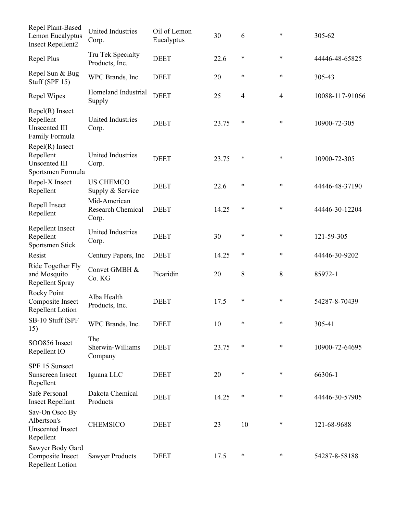| Repel Plant-Based<br>Lemon Eucalyptus<br><b>Insect Repellent2</b>           | <b>United Industries</b><br>Corp.                 | Oil of Lemon<br>Eucalyptus | 30    | 6      | *              | 305-62          |
|-----------------------------------------------------------------------------|---------------------------------------------------|----------------------------|-------|--------|----------------|-----------------|
| Repel Plus                                                                  | Tru Tek Specialty<br>Products, Inc.               | <b>DEET</b>                | 22.6  | $\ast$ | $\ast$         | 44446-48-65825  |
| Repel Sun & Bug<br>Stuff (SPF $15$ )                                        | WPC Brands, Inc.                                  | <b>DEET</b>                | 20    | *      | *              | 305-43          |
| Repel Wipes                                                                 | Homeland Industrial<br>Supply                     | <b>DEET</b>                | 25    | 4      | $\overline{4}$ | 10088-117-91066 |
| $Repel(R)$ Insect<br>Repellent<br><b>Unscented III</b><br>Family Formula    | United Industries<br>Corp.                        | <b>DEET</b>                | 23.75 | $\ast$ | $\ast$         | 10900-72-305    |
| $Repel(R)$ Insect<br>Repellent<br><b>Unscented III</b><br>Sportsmen Formula | <b>United Industries</b><br>Corp.                 | <b>DEET</b>                | 23.75 | $\ast$ | *              | 10900-72-305    |
| Repel-X Insect<br>Repellent                                                 | <b>US CHEMCO</b><br>Supply & Service              | <b>DEET</b>                | 22.6  | *      | $\ast$         | 44446-48-37190  |
| Repell Insect<br>Repellent                                                  | Mid-American<br><b>Research Chemical</b><br>Corp. | <b>DEET</b>                | 14.25 | $\ast$ | *              | 44446-30-12204  |
| Repellent Insect<br>Repellent<br>Sportsmen Stick                            | <b>United Industries</b><br>Corp.                 | <b>DEET</b>                | 30    | $\ast$ | $\ast$         | 121-59-305      |
| Resist                                                                      | Century Papers, Inc.                              | <b>DEET</b>                | 14.25 | $\ast$ | *              | 44446-30-9202   |
| Ride Together Fly<br>and Mosquito<br>Repellent Spray                        | Convet GMBH &<br>Co. KG                           | Picaridin                  | 20    | 8      | 8              | 85972-1         |
| Rocky Point<br>Composite Insect<br>Repellent Lotion                         | Alba Health<br>Products, Inc.                     | <b>DEET</b>                | 17.5  | *      | *              | 54287-8-70439   |
| SB-10 Stuff (SPF<br>15)                                                     | WPC Brands, Inc.                                  | <b>DEET</b>                | 10    | $\ast$ | *              | 305-41          |
| SOO856 Insect<br>Repellent IO                                               | The<br>Sherwin-Williams<br>Company                | <b>DEET</b>                | 23.75 | $\ast$ | *              | 10900-72-64695  |
| SPF 15 Sunsect<br>Sunscreen Insect<br>Repellent                             | Iguana LLC                                        | <b>DEET</b>                | 20    | $\ast$ | ∗              | 66306-1         |
| Safe Personal<br><b>Insect Repellant</b>                                    | Dakota Chemical<br>Products                       | <b>DEET</b>                | 14.25 | $\ast$ | $\ast$         | 44446-30-57905  |
| Sav-On Osco By<br>Albertson's<br><b>Unscented Insect</b><br>Repellent       | <b>CHEMSICO</b>                                   | <b>DEET</b>                | 23    | 10     | $\ast$         | 121-68-9688     |
| Sawyer Body Gard<br>Composite Insect<br>Repellent Lotion                    | <b>Sawyer Products</b>                            | <b>DEET</b>                | 17.5  | $\ast$ | ∗              | 54287-8-58188   |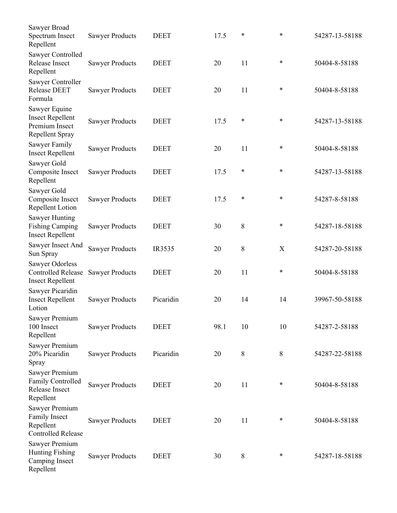| Sawyer Broad<br>Spectrum Insect<br>Repellent                                     | <b>Sawyer Products</b> | <b>DEET</b> | 17.5 | *  | *      | 54287-13-58188 |
|----------------------------------------------------------------------------------|------------------------|-------------|------|----|--------|----------------|
| Sawyer Controlled<br>Release Insect<br>Repellent                                 | <b>Sawyer Products</b> | <b>DEET</b> | 20   | 11 | $\ast$ | 50404-8-58188  |
| Sawyer Controller<br><b>Release DEET</b><br>Formula                              | <b>Sawyer Products</b> | <b>DEET</b> | 20   | 11 | *      | 50404-8-58188  |
| Sawyer Equine<br><b>Insect Repellent</b><br>Premium Insect<br>Repellent Spray    | <b>Sawyer Products</b> | <b>DEET</b> | 17.5 | ∗  | $\ast$ | 54287-13-58188 |
| Sawyer Family<br><b>Insect Repellent</b>                                         | <b>Sawyer Products</b> | <b>DEET</b> | 20   | 11 | $\ast$ | 50404-8-58188  |
| Sawyer Gold<br>Composite Insect<br>Repellent                                     | <b>Sawyer Products</b> | <b>DEET</b> | 17.5 | ∗  | $\ast$ | 54287-13-58188 |
| Sawyer Gold<br>Composite Insect<br><b>Repellent Lotion</b>                       | <b>Sawyer Products</b> | <b>DEET</b> | 17.5 | ∗  | *      | 54287-8-58188  |
| Sawyer Hunting<br><b>Fishing Camping</b><br><b>Insect Repellent</b>              | <b>Sawyer Products</b> | <b>DEET</b> | 30   | 8  | $\ast$ | 54287-18-58188 |
| Sawyer Insect And<br>Sun Spray                                                   | <b>Sawyer Products</b> | IR3535      | 20   | 8  | X      | 54287-20-58188 |
| Sawyer Odorless<br><b>Controlled Release</b><br><b>Insect Repellent</b>          | <b>Sawyer Products</b> | <b>DEET</b> | 20   | 11 | *      | 50404-8-58188  |
| Sawyer Picaridin<br><b>Insect Repellent</b><br>Lotion                            | <b>Sawyer Products</b> | Picaridin   | 20   | 14 | 14     | 39967-50-58188 |
| Sawyer Premium<br>100 Insect<br>Repellent                                        | <b>Sawyer Products</b> | <b>DEET</b> | 98.1 | 10 | 10     | 54287-2-58188  |
| Sawyer Premium<br>20% Picaridin<br>Spray                                         | <b>Sawyer Products</b> | Picaridin   | 20   | 8  | 8      | 54287-22-58188 |
| Sawyer Premium<br><b>Family Controlled</b><br>Release Insect<br>Repellent        | <b>Sawyer Products</b> | <b>DEET</b> | 20   | 11 | ∗      | 50404-8-58188  |
| Sawyer Premium<br><b>Family Insect</b><br>Repellent<br><b>Controlled Release</b> | <b>Sawyer Products</b> | <b>DEET</b> | 20   | 11 | $\ast$ | 50404-8-58188  |
| Sawyer Premium<br><b>Hunting Fishing</b><br>Camping Insect<br>Repellent          | <b>Sawyer Products</b> | <b>DEET</b> | 30   | 8  | $\ast$ | 54287-18-58188 |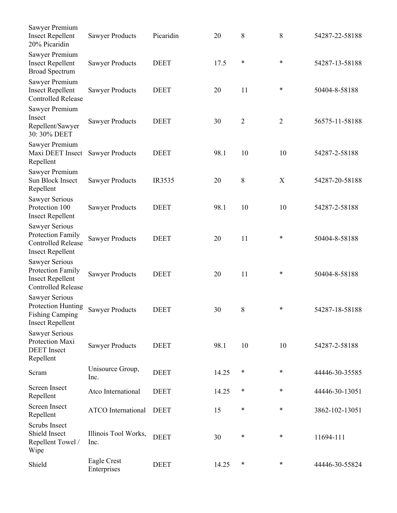| Sawyer Premium<br><b>Insect Repellent</b><br>20% Picaridin                                         | <b>Sawyer Products</b>       | Picaridin   | 20    | 8              | 8              | 54287-22-58188 |
|----------------------------------------------------------------------------------------------------|------------------------------|-------------|-------|----------------|----------------|----------------|
| Sawyer Premium<br><b>Insect Repellent</b><br><b>Broad Spectrum</b>                                 | <b>Sawyer Products</b>       | <b>DEET</b> | 17.5  | ∗              | $\ast$         | 54287-13-58188 |
| Sawyer Premium<br><b>Insect Repellent</b><br><b>Controlled Release</b>                             | <b>Sawyer Products</b>       | <b>DEET</b> | 20    | 11             | *              | 50404-8-58188  |
| Sawyer Premium<br>Insect<br>Repellent/Sawyer<br>30: 30% DEET                                       | <b>Sawyer Products</b>       | <b>DEET</b> | 30    | $\overline{2}$ | $\overline{2}$ | 56575-11-58188 |
| Sawyer Premium<br>Maxi DEET Insect<br>Repellent                                                    | <b>Sawyer Products</b>       | <b>DEET</b> | 98.1  | 10             | 10             | 54287-2-58188  |
| Sawyer Premium<br>Sun Block Insect<br>Repellent                                                    | <b>Sawyer Products</b>       | IR3535      | 20    | 8              | X              | 54287-20-58188 |
| <b>Sawyer Serious</b><br>Protection 100<br><b>Insect Repellent</b>                                 | <b>Sawyer Products</b>       | <b>DEET</b> | 98.1  | 10             | 10             | 54287-2-58188  |
| <b>Sawyer Serious</b><br>Protection Family<br><b>Controlled Release</b><br><b>Insect Repellent</b> | <b>Sawyer Products</b>       | <b>DEET</b> | 20    | 11             | *              | 50404-8-58188  |
| <b>Sawyer Serious</b><br>Protection Family<br><b>Insect Repellent</b><br><b>Controlled Release</b> | <b>Sawyer Products</b>       | <b>DEET</b> | 20    | 11             | *              | 50404-8-58188  |
| <b>Sawyer Serious</b><br>Protection Hunting<br><b>Fishing Camping</b><br><b>Insect Repellent</b>   | <b>Sawyer Products</b>       | <b>DEET</b> | 30    | 8              | *              | 54287-18-58188 |
| <b>Sawyer Serious</b><br>Protection Maxi<br><b>DEET</b> Insect<br>Repellent                        | <b>Sawyer Products</b>       | <b>DEET</b> | 98.1  | 10             | 10             | 54287-2-58188  |
| Scram                                                                                              | Unisource Group,<br>Inc.     | <b>DEET</b> | 14.25 | $\ast$         | ∗              | 44446-30-35585 |
| <b>Screen Insect</b><br>Repellent                                                                  | Atco International           | <b>DEET</b> | 14.25 | $\ast$         | $\ast$         | 44446-30-13051 |
| <b>Screen Insect</b><br>Repellent                                                                  | <b>ATCO</b> International    | <b>DEET</b> | 15    | ∗              | $\ast$         | 3862-102-13051 |
| Scrubs Insect<br>Shield Insect<br>Repellent Towel /<br>Wipe                                        | Illinois Tool Works,<br>Inc. | <b>DEET</b> | 30    | $\ast$         | *              | 11694-111      |
| Shield                                                                                             | Eagle Crest<br>Enterprises   | <b>DEET</b> | 14.25 | $\ast$         | ∗              | 44446-30-55824 |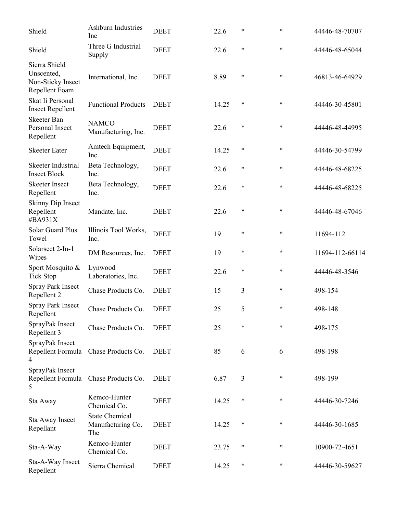| Shield                                                             | <b>Ashburn Industries</b><br>Inc                  | <b>DEET</b> | 22.6  | *      | *      | 44446-48-70707  |
|--------------------------------------------------------------------|---------------------------------------------------|-------------|-------|--------|--------|-----------------|
| Shield                                                             | Three G Industrial<br>Supply                      | <b>DEET</b> | 22.6  | *      | $\ast$ | 44446-48-65044  |
| Sierra Shield<br>Unscented,<br>Non-Sticky Insect<br>Repellent Foam | International, Inc.                               | <b>DEET</b> | 8.89  | *      | $\ast$ | 46813-46-64929  |
| Skat Ii Personal<br><b>Insect Repellent</b>                        | <b>Functional Products</b>                        | <b>DEET</b> | 14.25 | ∗      | *      | 44446-30-45801  |
| Skeeter Ban<br>Personal Insect<br>Repellent                        | <b>NAMCO</b><br>Manufacturing, Inc.               | <b>DEET</b> | 22.6  | *      | *      | 44446-48-44995  |
| <b>Skeeter Eater</b>                                               | Amtech Equipment,<br>Inc.                         | <b>DEET</b> | 14.25 | ∗      | $\ast$ | 44446-30-54799  |
| Skeeter Industrial<br><b>Insect Block</b>                          | Beta Technology,<br>Inc.                          | <b>DEET</b> | 22.6  | *      | $\ast$ | 44446-48-68225  |
| <b>Skeeter Insect</b><br>Repellent                                 | Beta Technology,<br>Inc.                          | <b>DEET</b> | 22.6  | *      | $\ast$ | 44446-48-68225  |
| Skinny Dip Insect<br>Repellent<br>#BA931X                          | Mandate, Inc.                                     | <b>DEET</b> | 22.6  | *      | $\ast$ | 44446-48-67046  |
| <b>Solar Guard Plus</b><br>Towel                                   | Illinois Tool Works,<br>Inc.                      | <b>DEET</b> | 19    | *      | *      | 11694-112       |
| Solarsect 2-In-1<br>Wipes                                          | DM Resources, Inc.                                | <b>DEET</b> | 19    | *      | $\ast$ | 11694-112-66114 |
| Sport Mosquito &<br><b>Tick Stop</b>                               | Lynwood<br>Laboratories, Inc.                     | <b>DEET</b> | 22.6  | *      | $\ast$ | 44446-48-3546   |
| Spray Park Insect<br>Repellent 2                                   | Chase Products Co.                                | <b>DEET</b> | 15    | 3      | $\ast$ | 498-154         |
| <b>Spray Park Insect</b><br>Repellent                              | Chase Products Co.                                | <b>DEET</b> | 25    | 5      | *      | 498-148         |
| SprayPak Insect<br>Repellent 3                                     | Chase Products Co.                                | <b>DEET</b> | 25    | $\ast$ | *      | 498-175         |
| SprayPak Insect<br>Repellent Formula<br>4                          | Chase Products Co.                                | <b>DEET</b> | 85    | 6      | 6      | 498-198         |
| SprayPak Insect<br>Repellent Formula<br>5                          | Chase Products Co.                                | <b>DEET</b> | 6.87  | 3      | ∗      | 498-199         |
| Sta Away                                                           | Kemco-Hunter<br>Chemical Co.                      | <b>DEET</b> | 14.25 | ∗      | $\ast$ | 44446-30-7246   |
| Sta Away Insect<br>Repellant                                       | <b>State Chemical</b><br>Manufacturing Co.<br>The | <b>DEET</b> | 14.25 | ∗      | $\ast$ | 44446-30-1685   |
| Sta-A-Way                                                          | Kemco-Hunter<br>Chemical Co.                      | <b>DEET</b> | 23.75 | ∗      | ∗      | 10900-72-4651   |
| Sta-A-Way Insect<br>Repellent                                      | Sierra Chemical                                   | <b>DEET</b> | 14.25 | $\ast$ | ∗      | 44446-30-59627  |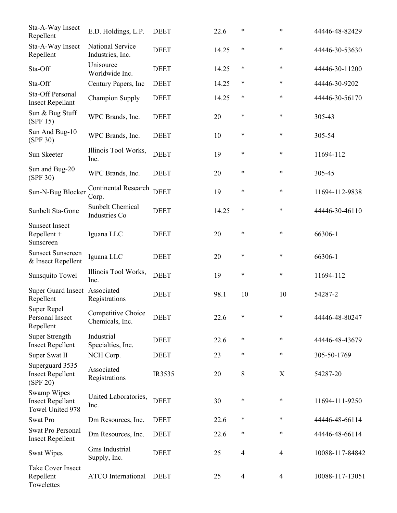| Sta-A-Way Insect<br>Repellent                              | E.D. Holdings, L.P.                   | <b>DEET</b> | 22.6  | ∗              | $\ast$         | 44446-48-82429  |
|------------------------------------------------------------|---------------------------------------|-------------|-------|----------------|----------------|-----------------|
| Sta-A-Way Insect<br>Repellent                              | National Service<br>Industries, Inc.  | <b>DEET</b> | 14.25 | $\ast$         | *              | 44446-30-53630  |
| Sta-Off                                                    | Unisource<br>Worldwide Inc.           | <b>DEET</b> | 14.25 | $\ast$         | *              | 44446-30-11200  |
| Sta-Off                                                    | Century Papers, Inc                   | <b>DEET</b> | 14.25 | $\ast$         | *              | 44446-30-9202   |
| Sta-Off Personal<br><b>Insect Repellant</b>                | <b>Champion Supply</b>                | <b>DEET</b> | 14.25 | $\ast$         | *              | 44446-30-56170  |
| Sun & Bug Stuff<br>(SPF 15)                                | WPC Brands, Inc.                      | <b>DEET</b> | 20    | $\ast$         | *              | 305-43          |
| Sun And Bug-10<br>(SPF 30)                                 | WPC Brands, Inc.                      | <b>DEET</b> | 10    | $\ast$         | *              | 305-54          |
| Sun Skeeter                                                | Illinois Tool Works,<br>Inc.          | <b>DEET</b> | 19    | $\ast$         | $\ast$         | 11694-112       |
| Sun and Bug-20<br>(SPF 30)                                 | WPC Brands, Inc.                      | <b>DEET</b> | 20    | $\ast$         | *              | 305-45          |
| Sun-N-Bug Blocker                                          | Continental Research<br>Corp.         | <b>DEET</b> | 19    | $\ast$         | *              | 11694-112-9838  |
| Sunbelt Sta-Gone                                           | Sunbelt Chemical<br>Industries Co     | <b>DEET</b> | 14.25 | ∗              | *              | 44446-30-46110  |
| <b>Sunsect Insect</b><br>Repellent +<br>Sunscreen          | Iguana LLC                            | <b>DEET</b> | 20    | ∗              | *              | 66306-1         |
| <b>Sunsect Sunscreen</b><br>& Insect Repellent             | Iguana LLC                            | <b>DEET</b> | 20    | $\ast$         | *              | 66306-1         |
| Sunsquito Towel                                            | Illinois Tool Works,<br>Inc.          | <b>DEET</b> | 19    | $\ast$         | *              | 11694-112       |
| Super Guard Insect Associated<br>Repellent                 | Registrations                         | <b>DEET</b> | 98.1  | 10             | 10             | 54287-2         |
| Super Repel<br>Personal Insect<br>Repellent                | Competitive Choice<br>Chemicals, Inc. | <b>DEET</b> | 22.6  | $\ast$         | $\ast$         | 44446-48-80247  |
| <b>Super Strength</b><br><b>Insect Repellent</b>           | Industrial<br>Specialties, Inc.       | <b>DEET</b> | 22.6  | ∗              | *              | 44446-48-43679  |
| Super Swat II                                              | NCH Corp.                             | <b>DEET</b> | 23    | *              | *              | 305-50-1769     |
| Superguard 3535<br><b>Insect Repellent</b><br>(SPF 20)     | Associated<br>Registrations           | IR3535      | 20    | 8              | X              | 54287-20        |
| Swamp Wipes<br><b>Insect Repellant</b><br>Towel United 978 | United Laboratories,<br>Inc.          | <b>DEET</b> | 30    | $\ast$         | *              | 11694-111-9250  |
| <b>Swat Pro</b>                                            | Dm Resources, Inc.                    | <b>DEET</b> | 22.6  | ∗              | *              | 44446-48-66114  |
| Swat Pro Personal<br><b>Insect Repellent</b>               | Dm Resources, Inc.                    | <b>DEET</b> | 22.6  | ∗              | *              | 44446-48-66114  |
| <b>Swat Wipes</b>                                          | Gms Industrial<br>Supply, Inc.        | <b>DEET</b> | 25    | $\overline{4}$ | $\overline{4}$ | 10088-117-84842 |
| <b>Take Cover Insect</b><br>Repellent<br>Towelettes        | <b>ATCO</b> International             | <b>DEET</b> | 25    | $\overline{4}$ | $\overline{4}$ | 10088-117-13051 |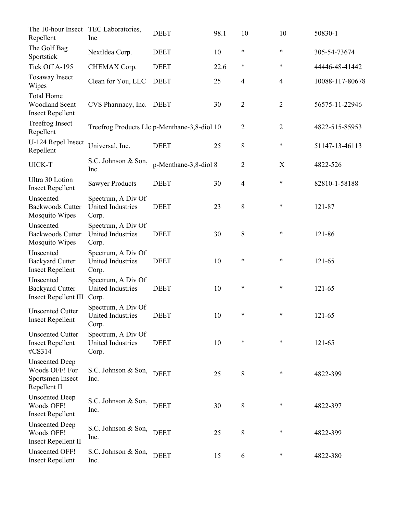| The 10-hour Insect TEC Laboratories,<br>Repellent                           | Inc                                                     | <b>DEET</b>           | 98.1 | 10             | 10             | 50830-1         |
|-----------------------------------------------------------------------------|---------------------------------------------------------|-----------------------|------|----------------|----------------|-----------------|
| The Golf Bag<br>Sportstick                                                  | NextIdea Corp.                                          | <b>DEET</b>           | 10   | $\ast$         | *              | 305-54-73674    |
| Tick Off A-195                                                              | CHEMAX Corp.                                            | <b>DEET</b>           | 22.6 | *              | $\ast$         | 44446-48-41442  |
| <b>Tosaway Insect</b><br>Wipes                                              | Clean for You, LLC                                      | <b>DEET</b>           | 25   | 4              | $\overline{4}$ | 10088-117-80678 |
| <b>Total Home</b><br><b>Woodland Scent</b><br><b>Insect Repellent</b>       | CVS Pharmacy, Inc.                                      | <b>DEET</b>           | 30   | $\overline{2}$ | $\sqrt{2}$     | 56575-11-22946  |
| <b>Treefrog Insect</b><br>Repellent                                         | Treefrog Products Llc p-Menthane-3,8-diol 10            |                       |      | $\overline{2}$ | $\overline{2}$ | 4822-515-85953  |
| U-124 Repel Insect<br>Repellent                                             | Universal, Inc.                                         | <b>DEET</b>           | 25   | 8              | *              | 51147-13-46113  |
| UICK-T                                                                      | S.C. Johnson & Son,<br>Inc.                             | p-Menthane-3,8-diol 8 |      | 2              | X              | 4822-526        |
| Ultra 30 Lotion<br><b>Insect Repellent</b>                                  | <b>Sawyer Products</b>                                  | <b>DEET</b>           | 30   | $\overline{4}$ | $\ast$         | 82810-1-58188   |
| Unscented<br><b>Backwoods Cutter</b><br>Mosquito Wipes                      | Spectrum, A Div Of<br>United Industries<br>Corp.        | <b>DEET</b>           | 23   | 8              | $\ast$         | 121-87          |
| Unscented<br><b>Backwoods Cutter</b><br>Mosquito Wipes                      | Spectrum, A Div Of<br>United Industries<br>Corp.        | <b>DEET</b>           | 30   | 8              | $\ast$         | 121-86          |
| Unscented<br><b>Backyard Cutter</b><br><b>Insect Repellent</b>              | Spectrum, A Div Of<br>United Industries<br>Corp.        | <b>DEET</b>           | 10   | $\ast$         | $\ast$         | 121-65          |
| Unscented<br><b>Backyard Cutter</b><br><b>Insect Repellent III</b>          | Spectrum, A Div Of<br><b>United Industries</b><br>Corp. | <b>DEET</b>           | 10   | $\ast$         | $\ast$         | 121-65          |
| <b>Unscented Cutter</b><br><b>Insect Repellent</b>                          | Spectrum, A Div Of<br>United Industries<br>Corp.        | <b>DEET</b>           | 10   | $\ast$         | $\ast$         | 121-65          |
| <b>Unscented Cutter</b><br><b>Insect Repellent</b><br>#CS314                | Spectrum, A Div Of<br>United Industries<br>Corp.        | <b>DEET</b>           | 10   | $\ast$         | $\ast$         | 121-65          |
| <b>Unscented Deep</b><br>Woods OFF! For<br>Sportsmen Insect<br>Repellent II | S.C. Johnson & Son,<br>Inc.                             | <b>DEET</b>           | 25   | $8\,$          | $\ast$         | 4822-399        |
| <b>Unscented Deep</b><br>Woods OFF!<br><b>Insect Repellent</b>              | S.C. Johnson & Son,<br>Inc.                             | <b>DEET</b>           | 30   | 8              | $\ast$         | 4822-397        |
| <b>Unscented Deep</b><br>Woods OFF!<br><b>Insect Repellent II</b>           | S.C. Johnson & Son,<br>Inc.                             | <b>DEET</b>           | 25   | 8              | ∗              | 4822-399        |
| <b>Unscented OFF!</b><br><b>Insect Repellent</b>                            | S.C. Johnson & Son,<br>Inc.                             | <b>DEET</b>           | 15   | 6              | *              | 4822-380        |